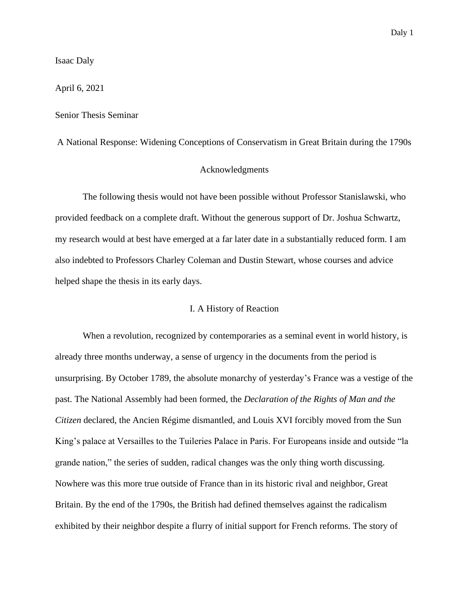Isaac Daly

April 6, 2021

Senior Thesis Seminar

## A National Response: Widening Conceptions of Conservatism in Great Britain during the 1790s

### Acknowledgments

The following thesis would not have been possible without Professor Stanislawski, who provided feedback on a complete draft. Without the generous support of Dr. Joshua Schwartz, my research would at best have emerged at a far later date in a substantially reduced form. I am also indebted to Professors Charley Coleman and Dustin Stewart, whose courses and advice helped shape the thesis in its early days.

### I. A History of Reaction

When a revolution, recognized by contemporaries as a seminal event in world history, is already three months underway, a sense of urgency in the documents from the period is unsurprising. By October 1789, the absolute monarchy of yesterday's France was a vestige of the past. The National Assembly had been formed, the *Declaration of the Rights of Man and the Citizen* declared, the Ancien Régime dismantled, and Louis XVI forcibly moved from the Sun King's palace at Versailles to the Tuileries Palace in Paris. For Europeans inside and outside "la grande nation," the series of sudden, radical changes was the only thing worth discussing. Nowhere was this more true outside of France than in its historic rival and neighbor, Great Britain. By the end of the 1790s, the British had defined themselves against the radicalism exhibited by their neighbor despite a flurry of initial support for French reforms. The story of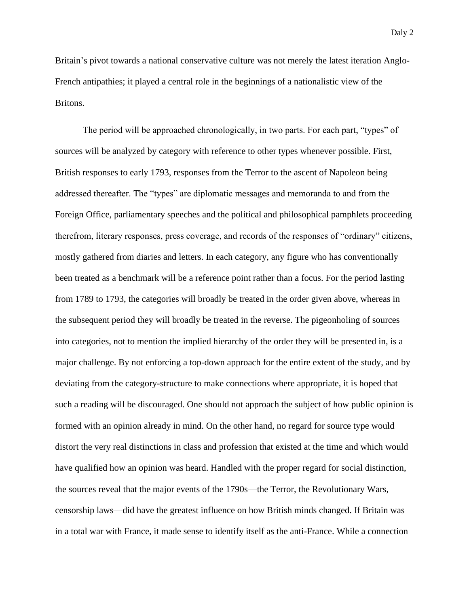Britain's pivot towards a national conservative culture was not merely the latest iteration Anglo-French antipathies; it played a central role in the beginnings of a nationalistic view of the Britons.

The period will be approached chronologically, in two parts. For each part, "types" of sources will be analyzed by category with reference to other types whenever possible. First, British responses to early 1793, responses from the Terror to the ascent of Napoleon being addressed thereafter. The "types" are diplomatic messages and memoranda to and from the Foreign Office, parliamentary speeches and the political and philosophical pamphlets proceeding therefrom, literary responses, press coverage, and records of the responses of "ordinary" citizens, mostly gathered from diaries and letters. In each category, any figure who has conventionally been treated as a benchmark will be a reference point rather than a focus. For the period lasting from 1789 to 1793, the categories will broadly be treated in the order given above, whereas in the subsequent period they will broadly be treated in the reverse. The pigeonholing of sources into categories, not to mention the implied hierarchy of the order they will be presented in, is a major challenge. By not enforcing a top-down approach for the entire extent of the study, and by deviating from the category-structure to make connections where appropriate, it is hoped that such a reading will be discouraged. One should not approach the subject of how public opinion is formed with an opinion already in mind. On the other hand, no regard for source type would distort the very real distinctions in class and profession that existed at the time and which would have qualified how an opinion was heard. Handled with the proper regard for social distinction, the sources reveal that the major events of the 1790s—the Terror, the Revolutionary Wars, censorship laws—did have the greatest influence on how British minds changed. If Britain was in a total war with France, it made sense to identify itself as the anti-France. While a connection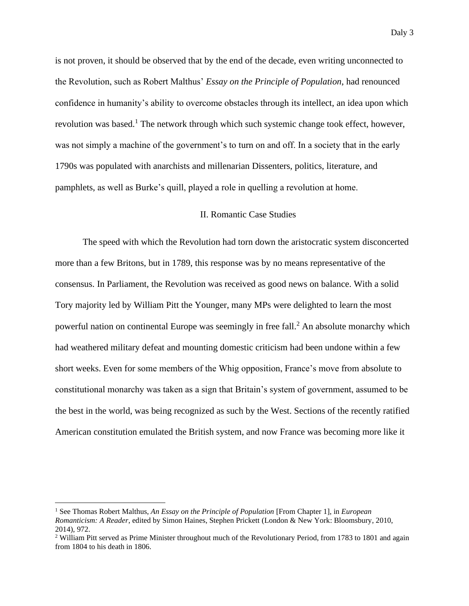is not proven, it should be observed that by the end of the decade, even writing unconnected to the Revolution, such as Robert Malthus' *Essay on the Principle of Population*, had renounced confidence in humanity's ability to overcome obstacles through its intellect, an idea upon which revolution was based.<sup>1</sup> The network through which such systemic change took effect, however, was not simply a machine of the government's to turn on and off. In a society that in the early 1790s was populated with anarchists and millenarian Dissenters, politics, literature, and pamphlets, as well as Burke's quill, played a role in quelling a revolution at home.

### II. Romantic Case Studies

The speed with which the Revolution had torn down the aristocratic system disconcerted more than a few Britons, but in 1789, this response was by no means representative of the consensus. In Parliament, the Revolution was received as good news on balance. With a solid Tory majority led by William Pitt the Younger, many MPs were delighted to learn the most powerful nation on continental Europe was seemingly in free fall.<sup>2</sup> An absolute monarchy which had weathered military defeat and mounting domestic criticism had been undone within a few short weeks. Even for some members of the Whig opposition, France's move from absolute to constitutional monarchy was taken as a sign that Britain's system of government, assumed to be the best in the world, was being recognized as such by the West. Sections of the recently ratified American constitution emulated the British system, and now France was becoming more like it

<sup>1</sup> See Thomas Robert Malthus, *An Essay on the Principle of Population* [From Chapter 1], in *European Romanticism: A Reader*, edited by Simon Haines, Stephen Prickett (London & New York: Bloomsbury, 2010, 2014), 972.

<sup>&</sup>lt;sup>2</sup> William Pitt served as Prime Minister throughout much of the Revolutionary Period, from 1783 to 1801 and again from 1804 to his death in 1806.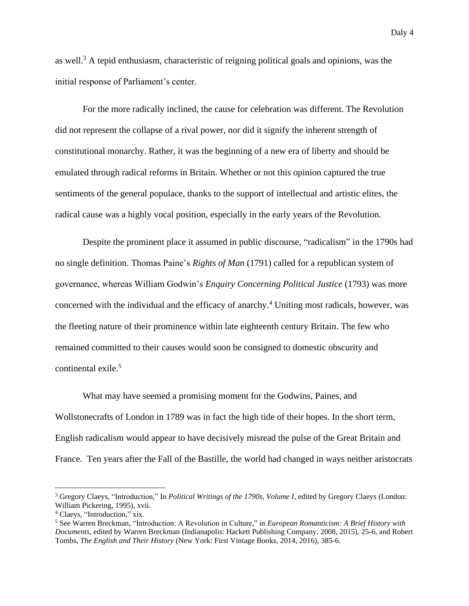as well.<sup>3</sup> A tepid enthusiasm, characteristic of reigning political goals and opinions, was the initial response of Parliament's center.

For the more radically inclined, the cause for celebration was different. The Revolution did not represent the collapse of a rival power, nor did it signify the inherent strength of constitutional monarchy. Rather, it was the beginning of a new era of liberty and should be emulated through radical reforms in Britain. Whether or not this opinion captured the true sentiments of the general populace, thanks to the support of intellectual and artistic elites, the radical cause was a highly vocal position, especially in the early years of the Revolution.

Despite the prominent place it assumed in public discourse, "radicalism" in the 1790s had no single definition. Thomas Paine's *Rights of Man* (1791) called for a republican system of governance, whereas William Godwin's *Enquiry Concerning Political Justice* (1793) was more concerned with the individual and the efficacy of anarchy.<sup>4</sup> Uniting most radicals, however, was the fleeting nature of their prominence within late eighteenth century Britain. The few who remained committed to their causes would soon be consigned to domestic obscurity and continental exile.<sup>5</sup>

What may have seemed a promising moment for the Godwins, Paines, and Wollstonecrafts of London in 1789 was in fact the high tide of their hopes. In the short term, English radicalism would appear to have decisively misread the pulse of the Great Britain and France. Ten years after the Fall of the Bastille, the world had changed in ways neither aristocrats

<sup>&</sup>lt;sup>3</sup> Gregory Claeys, "Introduction," In *Political Writings of the 1790s, Volume I*, edited by Gregory Claeys (London: William Pickering, 1995), xvii.

<sup>4</sup> Claeys, "Introduction," xix.

<sup>5</sup> See Warren Breckman, "Introduction: A Revolution in Culture," in *European Romanticism: A Brief History with Documents*, edited by Warren Breckman (Indianapolis: Hackett Publishing Company, 2008, 2015), 25-6, and Robert Tombs, *The English and Their History* (New York: First Vintage Books, 2014, 2016), 385-6.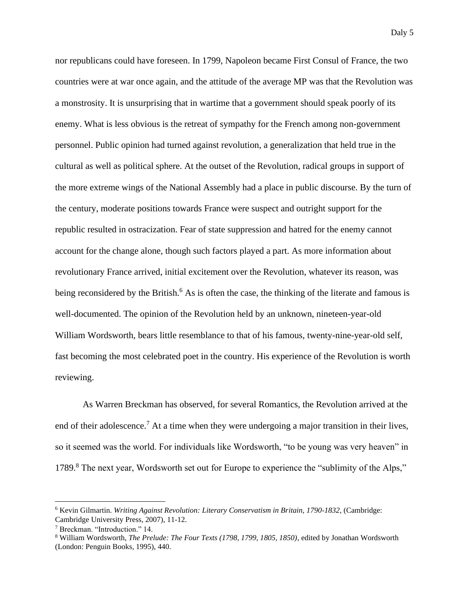nor republicans could have foreseen. In 1799, Napoleon became First Consul of France, the two countries were at war once again, and the attitude of the average MP was that the Revolution was a monstrosity. It is unsurprising that in wartime that a government should speak poorly of its enemy. What is less obvious is the retreat of sympathy for the French among non-government personnel. Public opinion had turned against revolution, a generalization that held true in the cultural as well as political sphere. At the outset of the Revolution, radical groups in support of the more extreme wings of the National Assembly had a place in public discourse. By the turn of the century, moderate positions towards France were suspect and outright support for the republic resulted in ostracization. Fear of state suppression and hatred for the enemy cannot account for the change alone, though such factors played a part. As more information about revolutionary France arrived, initial excitement over the Revolution, whatever its reason, was being reconsidered by the British.<sup>6</sup> As is often the case, the thinking of the literate and famous is well-documented. The opinion of the Revolution held by an unknown, nineteen-year-old William Wordsworth, bears little resemblance to that of his famous, twenty-nine-year-old self, fast becoming the most celebrated poet in the country. His experience of the Revolution is worth reviewing.

As Warren Breckman has observed, for several Romantics, the Revolution arrived at the end of their adolescence.<sup>7</sup> At a time when they were undergoing a major transition in their lives, so it seemed was the world. For individuals like Wordsworth, "to be young was very heaven" in 1789.<sup>8</sup> The next year, Wordsworth set out for Europe to experience the "sublimity of the Alps,"

<sup>6</sup> Kevin Gilmartin. *Writing Against Revolution: Literary Conservatism in Britain, 1790-1832*, (Cambridge: Cambridge University Press, 2007), 11-12.

<sup>7</sup> Breckman. "Introduction." 14.

<sup>8</sup> William Wordsworth, *The Prelude: The Four Texts (1798, 1799, 1805, 1850)*, edited by Jonathan Wordsworth (London: Penguin Books, 1995), 440.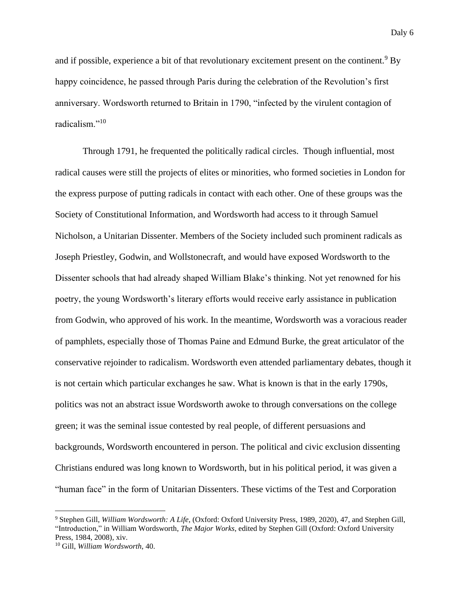and if possible, experience a bit of that revolutionary excitement present on the continent.<sup>9</sup> By happy coincidence, he passed through Paris during the celebration of the Revolution's first anniversary. Wordsworth returned to Britain in 1790, "infected by the virulent contagion of radicalism."<sup>10</sup>

Through 1791, he frequented the politically radical circles. Though influential, most radical causes were still the projects of elites or minorities, who formed societies in London for the express purpose of putting radicals in contact with each other. One of these groups was the Society of Constitutional Information, and Wordsworth had access to it through Samuel Nicholson, a Unitarian Dissenter. Members of the Society included such prominent radicals as Joseph Priestley, Godwin, and Wollstonecraft, and would have exposed Wordsworth to the Dissenter schools that had already shaped William Blake's thinking. Not yet renowned for his poetry, the young Wordsworth's literary efforts would receive early assistance in publication from Godwin, who approved of his work. In the meantime, Wordsworth was a voracious reader of pamphlets, especially those of Thomas Paine and Edmund Burke, the great articulator of the conservative rejoinder to radicalism. Wordsworth even attended parliamentary debates, though it is not certain which particular exchanges he saw. What is known is that in the early 1790s, politics was not an abstract issue Wordsworth awoke to through conversations on the college green; it was the seminal issue contested by real people, of different persuasions and backgrounds, Wordsworth encountered in person. The political and civic exclusion dissenting Christians endured was long known to Wordsworth, but in his political period, it was given a "human face" in the form of Unitarian Dissenters. These victims of the Test and Corporation

<sup>9</sup> Stephen Gill, *William Wordsworth: A Life*, (Oxford: Oxford University Press, 1989, 2020), 47, and Stephen Gill, "Introduction," in William Wordsworth, *The Major Works*, edited by Stephen Gill (Oxford: Oxford University Press, 1984, 2008), xiv.

<sup>10</sup> Gill, *William Wordsworth*, 40.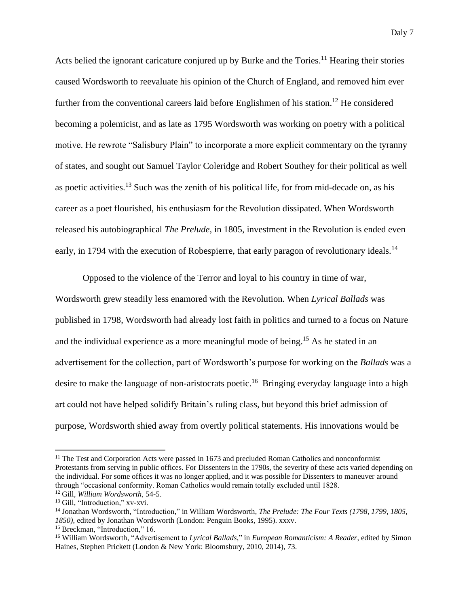Acts belied the ignorant caricature conjured up by Burke and the Tories.<sup>11</sup> Hearing their stories caused Wordsworth to reevaluate his opinion of the Church of England, and removed him ever further from the conventional careers laid before Englishmen of his station.<sup>12</sup> He considered becoming a polemicist, and as late as 1795 Wordsworth was working on poetry with a political motive. He rewrote "Salisbury Plain" to incorporate a more explicit commentary on the tyranny of states, and sought out Samuel Taylor Coleridge and Robert Southey for their political as well as poetic activities.<sup>13</sup> Such was the zenith of his political life, for from mid-decade on, as his career as a poet flourished, his enthusiasm for the Revolution dissipated. When Wordsworth released his autobiographical *The Prelude*, in 1805, investment in the Revolution is ended even early, in 1794 with the execution of Robespierre, that early paragon of revolutionary ideals.<sup>14</sup>

Opposed to the violence of the Terror and loyal to his country in time of war, Wordsworth grew steadily less enamored with the Revolution. When *Lyrical Ballads* was published in 1798, Wordsworth had already lost faith in politics and turned to a focus on Nature and the individual experience as a more meaningful mode of being.<sup>15</sup> As he stated in an advertisement for the collection, part of Wordsworth's purpose for working on the *Ballads* was a desire to make the language of non-aristocrats poetic.<sup>16</sup> Bringing everyday language into a high art could not have helped solidify Britain's ruling class, but beyond this brief admission of purpose, Wordsworth shied away from overtly political statements. His innovations would be

<sup>&</sup>lt;sup>11</sup> The Test and Corporation Acts were passed in 1673 and precluded Roman Catholics and nonconformist Protestants from serving in public offices. For Dissenters in the 1790s, the severity of these acts varied depending on the individual. For some offices it was no longer applied, and it was possible for Dissenters to maneuver around through "occasional conformity. Roman Catholics would remain totally excluded until 1828.

<sup>12</sup> Gill, *William Wordsworth*, 54-5.

<sup>&</sup>lt;sup>13</sup> Gill, "Introduction," xv-xvi.

<sup>14</sup> Jonathan Wordsworth, "Introduction," in William Wordsworth, *The Prelude: The Four Texts (1798, 1799, 1805, 1850)*, edited by Jonathan Wordsworth (London: Penguin Books, 1995). xxxv.

<sup>&</sup>lt;sup>15</sup> Breckman, "Introduction," 16.

<sup>16</sup> William Wordsworth, "Advertisement to *Lyrical Ballads*," in *European Romanticism: A Reader*, edited by Simon Haines, Stephen Prickett (London & New York: Bloomsbury, 2010, 2014), 73.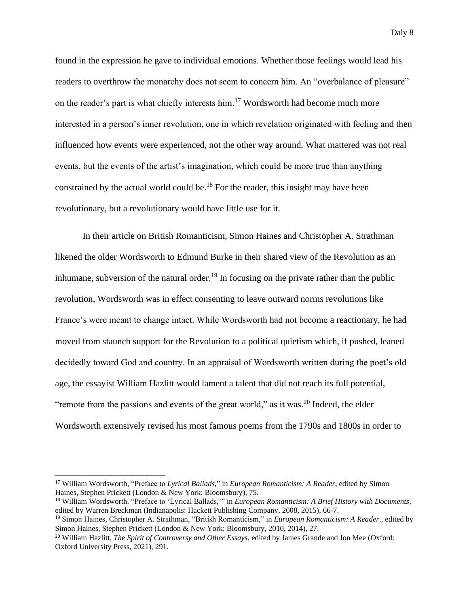found in the expression he gave to individual emotions. Whether those feelings would lead his readers to overthrow the monarchy does not seem to concern him. An "overbalance of pleasure" on the reader's part is what chiefly interests him.<sup>17</sup> Wordsworth had become much more interested in a person's inner revolution, one in which revelation originated with feeling and then influenced how events were experienced, not the other way around. What mattered was not real events, but the events of the artist's imagination, which could be more true than anything constrained by the actual world could be.<sup>18</sup> For the reader, this insight may have been revolutionary, but a revolutionary would have little use for it.

In their article on British Romanticism, Simon Haines and Christopher A. Strathman likened the older Wordsworth to Edmund Burke in their shared view of the Revolution as an inhumane, subversion of the natural order.<sup>19</sup> In focusing on the private rather than the public revolution, Wordsworth was in effect consenting to leave outward norms revolutions like France's were meant to change intact. While Wordsworth had not become a reactionary, he had moved from staunch support for the Revolution to a political quietism which, if pushed, leaned decidedly toward God and country. In an appraisal of Wordsworth written during the poet's old age, the essayist William Hazlitt would lament a talent that did not reach its full potential, "remote from the passions and events of the great world," as it was.<sup>20</sup> Indeed, the elder Wordsworth extensively revised his most famous poems from the 1790s and 1800s in order to

<sup>17</sup> William Wordsworth, "Preface to *Lyrical Ballads*," in *European Romanticism: A Reader*, edited by Simon Haines, Stephen Prickett (London & New York: Bloomsbury), 75.

<sup>18</sup> William Wordsworth. "Preface to 'Lyrical Ballads,'" in *European Romanticism: A Brief History with Documents*, edited by Warren Breckman (Indianapolis: Hackett Publishing Company, 2008, 2015), 66-7.

<sup>19</sup> Simon Haines, Christopher A. Strathman, "British Romanticism," in *European Romanticism: A Reader*., edited by Simon Haines, Stephen Prickett (London & New York: Bloomsbury, 2010, 2014), 27.

<sup>20</sup> William Hazlitt, *The Spirit of Controversy and Other Essays*, edited by James Grande and Jon Mee (Oxford: Oxford University Press, 2021), 291.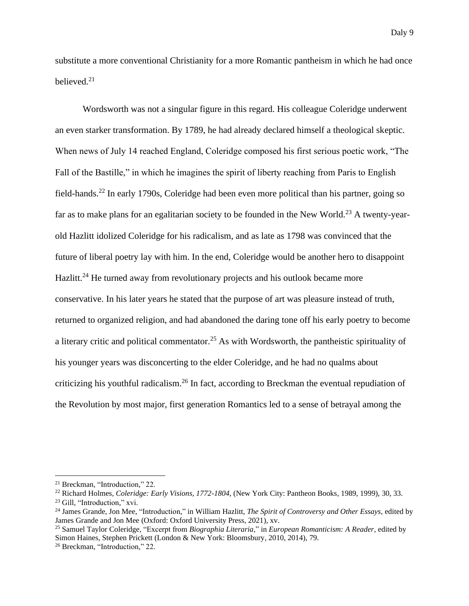substitute a more conventional Christianity for a more Romantic pantheism in which he had once believed.<sup>21</sup>

Wordsworth was not a singular figure in this regard. His colleague Coleridge underwent an even starker transformation. By 1789, he had already declared himself a theological skeptic. When news of July 14 reached England, Coleridge composed his first serious poetic work, "The Fall of the Bastille," in which he imagines the spirit of liberty reaching from Paris to English field-hands.<sup>22</sup> In early 1790s, Coleridge had been even more political than his partner, going so far as to make plans for an egalitarian society to be founded in the New World.<sup>23</sup> A twenty-yearold Hazlitt idolized Coleridge for his radicalism, and as late as 1798 was convinced that the future of liberal poetry lay with him. In the end, Coleridge would be another hero to disappoint Hazlitt.<sup>24</sup> He turned away from revolutionary projects and his outlook became more conservative. In his later years he stated that the purpose of art was pleasure instead of truth, returned to organized religion, and had abandoned the daring tone off his early poetry to become a literary critic and political commentator.<sup>25</sup> As with Wordsworth, the pantheistic spirituality of his younger years was disconcerting to the elder Coleridge, and he had no qualms about criticizing his youthful radicalism.<sup>26</sup> In fact, according to Breckman the eventual repudiation of the Revolution by most major, first generation Romantics led to a sense of betrayal among the

<sup>21</sup> Breckman, "Introduction," 22.

<sup>22</sup> Richard Holmes, *Coleridge: Early Visions, 1772-1804*, (New York City: Pantheon Books, 1989, 1999), 30, 33.

<sup>&</sup>lt;sup>23</sup> Gill, "Introduction," xvi.

<sup>24</sup> James Grande, Jon Mee, "Introduction," in William Hazlitt, *The Spirit of Controversy and Other Essays*, edited by James Grande and Jon Mee (Oxford: Oxford University Press, 2021), xv.

<sup>25</sup> Samuel Taylor Coleridge, "Excerpt from *Biographia Literaria*," in *European Romanticism: A Reader*, edited by Simon Haines, Stephen Prickett (London & New York: Bloomsbury, 2010, 2014), 79.

<sup>26</sup> Breckman, "Introduction," 22.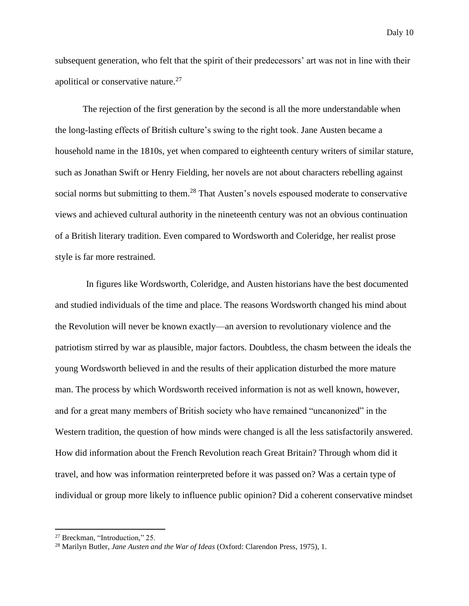subsequent generation, who felt that the spirit of their predecessors' art was not in line with their apolitical or conservative nature.<sup>27</sup>

The rejection of the first generation by the second is all the more understandable when the long-lasting effects of British culture's swing to the right took. Jane Austen became a household name in the 1810s, yet when compared to eighteenth century writers of similar stature, such as Jonathan Swift or Henry Fielding, her novels are not about characters rebelling against social norms but submitting to them.<sup>28</sup> That Austen's novels espoused moderate to conservative views and achieved cultural authority in the nineteenth century was not an obvious continuation of a British literary tradition. Even compared to Wordsworth and Coleridge, her realist prose style is far more restrained.

In figures like Wordsworth, Coleridge, and Austen historians have the best documented and studied individuals of the time and place. The reasons Wordsworth changed his mind about the Revolution will never be known exactly—an aversion to revolutionary violence and the patriotism stirred by war as plausible, major factors. Doubtless, the chasm between the ideals the young Wordsworth believed in and the results of their application disturbed the more mature man. The process by which Wordsworth received information is not as well known, however, and for a great many members of British society who have remained "uncanonized" in the Western tradition, the question of how minds were changed is all the less satisfactorily answered. How did information about the French Revolution reach Great Britain? Through whom did it travel, and how was information reinterpreted before it was passed on? Was a certain type of individual or group more likely to influence public opinion? Did a coherent conservative mindset

<sup>27</sup> Breckman, "Introduction," 25.

<sup>28</sup> Marilyn Butler, *Jane Austen and the War of Ideas* (Oxford: Clarendon Press, 1975), 1.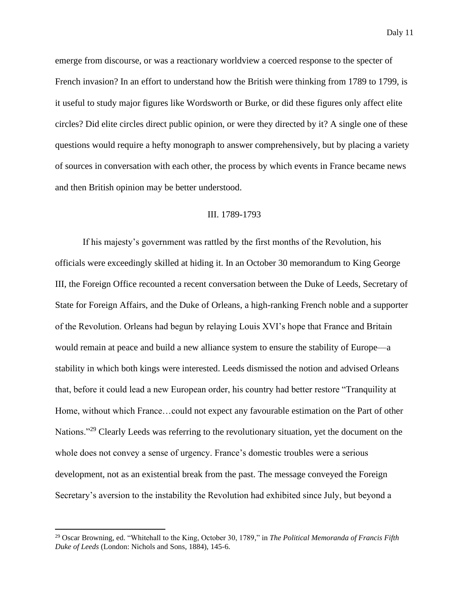emerge from discourse, or was a reactionary worldview a coerced response to the specter of French invasion? In an effort to understand how the British were thinking from 1789 to 1799, is it useful to study major figures like Wordsworth or Burke, or did these figures only affect elite circles? Did elite circles direct public opinion, or were they directed by it? A single one of these questions would require a hefty monograph to answer comprehensively, but by placing a variety of sources in conversation with each other, the process by which events in France became news and then British opinion may be better understood.

#### III. 1789-1793

If his majesty's government was rattled by the first months of the Revolution, his officials were exceedingly skilled at hiding it. In an October 30 memorandum to King George III, the Foreign Office recounted a recent conversation between the Duke of Leeds, Secretary of State for Foreign Affairs, and the Duke of Orleans, a high-ranking French noble and a supporter of the Revolution. Orleans had begun by relaying Louis XVI's hope that France and Britain would remain at peace and build a new alliance system to ensure the stability of Europe—a stability in which both kings were interested. Leeds dismissed the notion and advised Orleans that, before it could lead a new European order, his country had better restore "Tranquility at Home, without which France…could not expect any favourable estimation on the Part of other Nations."<sup>29</sup> Clearly Leeds was referring to the revolutionary situation, yet the document on the whole does not convey a sense of urgency. France's domestic troubles were a serious development, not as an existential break from the past. The message conveyed the Foreign Secretary's aversion to the instability the Revolution had exhibited since July, but beyond a

<sup>29</sup> Oscar Browning, ed. "Whitehall to the King, October 30, 1789," in *The Political Memoranda of Francis Fifth Duke of Leeds* (London: Nichols and Sons, 1884), 145-6.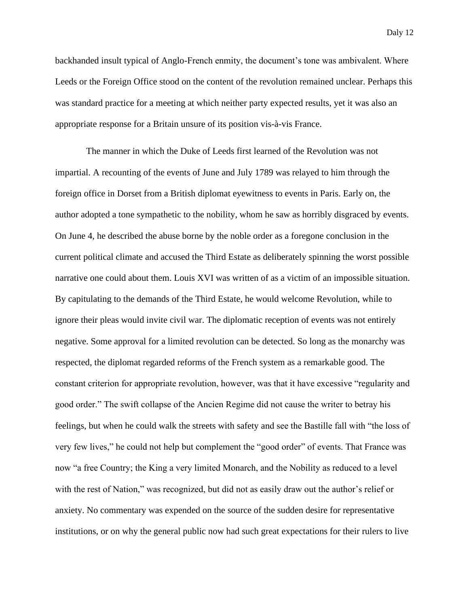backhanded insult typical of Anglo-French enmity, the document's tone was ambivalent. Where Leeds or the Foreign Office stood on the content of the revolution remained unclear. Perhaps this was standard practice for a meeting at which neither party expected results, yet it was also an appropriate response for a Britain unsure of its position vis-à-vis France.

The manner in which the Duke of Leeds first learned of the Revolution was not impartial. A recounting of the events of June and July 1789 was relayed to him through the foreign office in Dorset from a British diplomat eyewitness to events in Paris. Early on, the author adopted a tone sympathetic to the nobility, whom he saw as horribly disgraced by events. On June 4, he described the abuse borne by the noble order as a foregone conclusion in the current political climate and accused the Third Estate as deliberately spinning the worst possible narrative one could about them. Louis XVI was written of as a victim of an impossible situation. By capitulating to the demands of the Third Estate, he would welcome Revolution, while to ignore their pleas would invite civil war. The diplomatic reception of events was not entirely negative. Some approval for a limited revolution can be detected. So long as the monarchy was respected, the diplomat regarded reforms of the French system as a remarkable good. The constant criterion for appropriate revolution, however, was that it have excessive "regularity and good order." The swift collapse of the Ancien Regime did not cause the writer to betray his feelings, but when he could walk the streets with safety and see the Bastille fall with "the loss of very few lives," he could not help but complement the "good order" of events. That France was now "a free Country; the King a very limited Monarch, and the Nobility as reduced to a level with the rest of Nation," was recognized, but did not as easily draw out the author's relief or anxiety. No commentary was expended on the source of the sudden desire for representative institutions, or on why the general public now had such great expectations for their rulers to live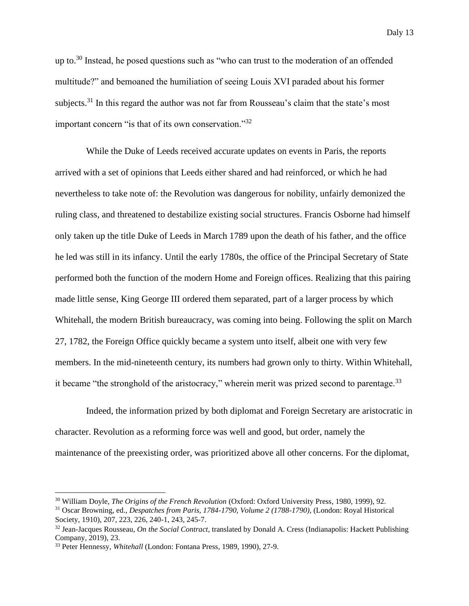up to.<sup>30</sup> Instead, he posed questions such as "who can trust to the moderation of an offended multitude?" and bemoaned the humiliation of seeing Louis XVI paraded about his former subjects.<sup>31</sup> In this regard the author was not far from Rousseau's claim that the state's most important concern "is that of its own conservation."<sup>32</sup>

While the Duke of Leeds received accurate updates on events in Paris, the reports arrived with a set of opinions that Leeds either shared and had reinforced, or which he had nevertheless to take note of: the Revolution was dangerous for nobility, unfairly demonized the ruling class, and threatened to destabilize existing social structures. Francis Osborne had himself only taken up the title Duke of Leeds in March 1789 upon the death of his father, and the office he led was still in its infancy. Until the early 1780s, the office of the Principal Secretary of State performed both the function of the modern Home and Foreign offices. Realizing that this pairing made little sense, King George III ordered them separated, part of a larger process by which Whitehall, the modern British bureaucracy, was coming into being. Following the split on March 27, 1782, the Foreign Office quickly became a system unto itself, albeit one with very few members. In the mid-nineteenth century, its numbers had grown only to thirty. Within Whitehall, it became "the stronghold of the aristocracy," wherein merit was prized second to parentage.<sup>33</sup>

Indeed, the information prized by both diplomat and Foreign Secretary are aristocratic in character. Revolution as a reforming force was well and good, but order, namely the maintenance of the preexisting order, was prioritized above all other concerns. For the diplomat,

<sup>30</sup> William Doyle, *The Origins of the French Revolution* (Oxford: Oxford University Press, 1980, 1999), 92.

<sup>31</sup> Oscar Browning, ed., *Despatches from Paris, 1784-1790, Volume 2 (1788-1790)*, (London: Royal Historical Society, 1910), 207, 223, 226, 240-1, 243, 245-7.

<sup>32</sup> Jean-Jacques Rousseau, *On the Social Contract*, translated by Donald A. Cress (Indianapolis: Hackett Publishing Company, 2019), 23.

<sup>33</sup> Peter Hennessy, *Whitehall* (London: Fontana Press, 1989, 1990), 27-9.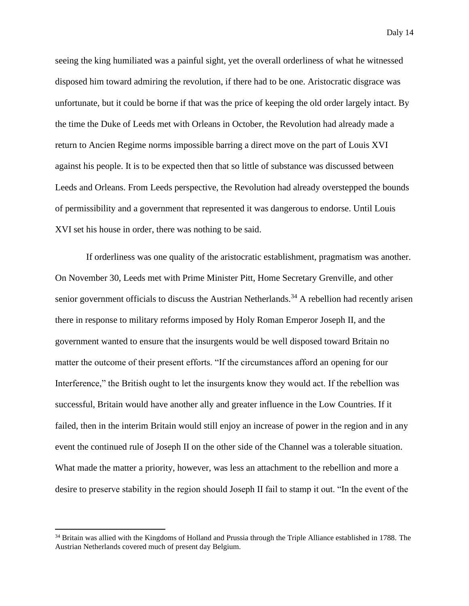seeing the king humiliated was a painful sight, yet the overall orderliness of what he witnessed disposed him toward admiring the revolution, if there had to be one. Aristocratic disgrace was unfortunate, but it could be borne if that was the price of keeping the old order largely intact. By the time the Duke of Leeds met with Orleans in October, the Revolution had already made a return to Ancien Regime norms impossible barring a direct move on the part of Louis XVI against his people. It is to be expected then that so little of substance was discussed between Leeds and Orleans. From Leeds perspective, the Revolution had already overstepped the bounds of permissibility and a government that represented it was dangerous to endorse. Until Louis XVI set his house in order, there was nothing to be said.

If orderliness was one quality of the aristocratic establishment, pragmatism was another. On November 30, Leeds met with Prime Minister Pitt, Home Secretary Grenville, and other senior government officials to discuss the Austrian Netherlands.<sup>34</sup> A rebellion had recently arisen there in response to military reforms imposed by Holy Roman Emperor Joseph II, and the government wanted to ensure that the insurgents would be well disposed toward Britain no matter the outcome of their present efforts. "If the circumstances afford an opening for our Interference," the British ought to let the insurgents know they would act. If the rebellion was successful, Britain would have another ally and greater influence in the Low Countries. If it failed, then in the interim Britain would still enjoy an increase of power in the region and in any event the continued rule of Joseph II on the other side of the Channel was a tolerable situation. What made the matter a priority, however, was less an attachment to the rebellion and more a desire to preserve stability in the region should Joseph II fail to stamp it out. "In the event of the

<sup>&</sup>lt;sup>34</sup> Britain was allied with the Kingdoms of Holland and Prussia through the Triple Alliance established in 1788. The Austrian Netherlands covered much of present day Belgium.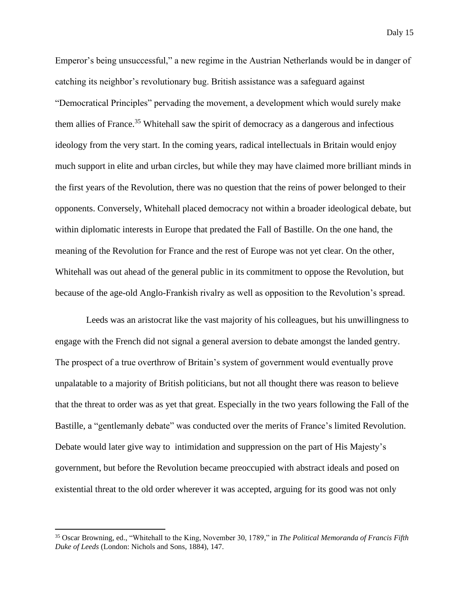Emperor's being unsuccessful," a new regime in the Austrian Netherlands would be in danger of catching its neighbor's revolutionary bug. British assistance was a safeguard against "Democratical Principles" pervading the movement, a development which would surely make them allies of France.<sup>35</sup> Whitehall saw the spirit of democracy as a dangerous and infectious ideology from the very start. In the coming years, radical intellectuals in Britain would enjoy much support in elite and urban circles, but while they may have claimed more brilliant minds in the first years of the Revolution, there was no question that the reins of power belonged to their opponents. Conversely, Whitehall placed democracy not within a broader ideological debate, but within diplomatic interests in Europe that predated the Fall of Bastille. On the one hand, the meaning of the Revolution for France and the rest of Europe was not yet clear. On the other, Whitehall was out ahead of the general public in its commitment to oppose the Revolution, but because of the age-old Anglo-Frankish rivalry as well as opposition to the Revolution's spread.

Leeds was an aristocrat like the vast majority of his colleagues, but his unwillingness to engage with the French did not signal a general aversion to debate amongst the landed gentry. The prospect of a true overthrow of Britain's system of government would eventually prove unpalatable to a majority of British politicians, but not all thought there was reason to believe that the threat to order was as yet that great. Especially in the two years following the Fall of the Bastille, a "gentlemanly debate" was conducted over the merits of France's limited Revolution. Debate would later give way to intimidation and suppression on the part of His Majesty's government, but before the Revolution became preoccupied with abstract ideals and posed on existential threat to the old order wherever it was accepted, arguing for its good was not only

<sup>35</sup> Oscar Browning, ed., "Whitehall to the King, November 30, 1789," in *The Political Memoranda of Francis Fifth Duke of Leeds* (London: Nichols and Sons, 1884), 147.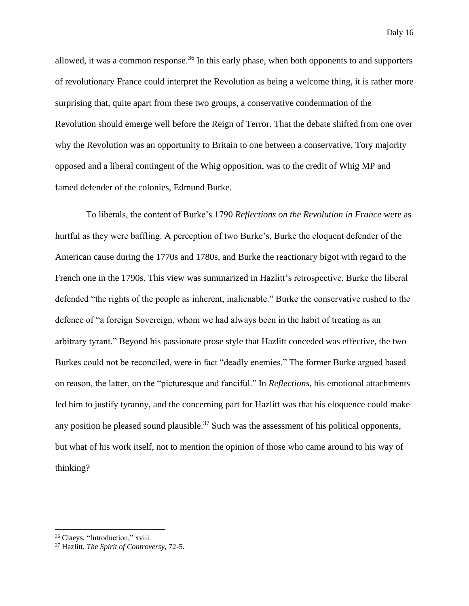allowed, it was a common response.<sup>36</sup> In this early phase, when both opponents to and supporters of revolutionary France could interpret the Revolution as being a welcome thing, it is rather more surprising that, quite apart from these two groups, a conservative condemnation of the Revolution should emerge well before the Reign of Terror. That the debate shifted from one over why the Revolution was an opportunity to Britain to one between a conservative, Tory majority opposed and a liberal contingent of the Whig opposition, was to the credit of Whig MP and famed defender of the colonies, Edmund Burke.

To liberals, the content of Burke's 1790 *Reflections on the Revolution in France* were as hurtful as they were baffling. A perception of two Burke's, Burke the eloquent defender of the American cause during the 1770s and 1780s, and Burke the reactionary bigot with regard to the French one in the 1790s. This view was summarized in Hazlitt's retrospective. Burke the liberal defended "the rights of the people as inherent, inalienable." Burke the conservative rushed to the defence of "a foreign Sovereign, whom we had always been in the habit of treating as an arbitrary tyrant." Beyond his passionate prose style that Hazlitt conceded was effective, the two Burkes could not be reconciled, were in fact "deadly enemies." The former Burke argued based on reason, the latter, on the "picturesque and fanciful." In *Reflections*, his emotional attachments led him to justify tyranny, and the concerning part for Hazlitt was that his eloquence could make any position he pleased sound plausible.<sup>37</sup> Such was the assessment of his political opponents, but what of his work itself, not to mention the opinion of those who came around to his way of thinking?

<sup>36</sup> Claeys, "Introduction," xviii.

<sup>37</sup> Hazlitt, *The Spirit of Controversy*, 72-5.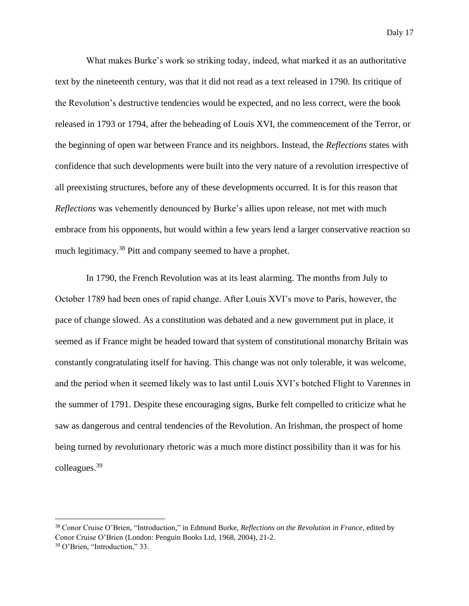What makes Burke's work so striking today, indeed, what marked it as an authoritative text by the nineteenth century, was that it did not read as a text released in 1790. Its critique of the Revolution's destructive tendencies would be expected, and no less correct, were the book released in 1793 or 1794, after the beheading of Louis XVI, the commencement of the Terror, or the beginning of open war between France and its neighbors. Instead, the *Reflections* states with confidence that such developments were built into the very nature of a revolution irrespective of all preexisting structures, before any of these developments occurred. It is for this reason that *Reflections* was vehemently denounced by Burke's allies upon release, not met with much embrace from his opponents, but would within a few years lend a larger conservative reaction so much legitimacy.<sup>38</sup> Pitt and company seemed to have a prophet.

In 1790, the French Revolution was at its least alarming. The months from July to October 1789 had been ones of rapid change. After Louis XVI's move to Paris, however, the pace of change slowed. As a constitution was debated and a new government put in place, it seemed as if France might be headed toward that system of constitutional monarchy Britain was constantly congratulating itself for having. This change was not only tolerable, it was welcome, and the period when it seemed likely was to last until Louis XVI's botched Flight to Varennes in the summer of 1791. Despite these encouraging signs, Burke felt compelled to criticize what he saw as dangerous and central tendencies of the Revolution. An Irishman, the prospect of home being turned by revolutionary rhetoric was a much more distinct possibility than it was for his colleagues.<sup>39</sup>

<sup>38</sup> Conor Cruise O'Brien, "Introduction," in Edmund Burke, *Reflections on the Revolution in France*, edited by Conor Cruise O'Brien (London: Penguin Books Ltd, 1968, 2004), 21-2.

<sup>39</sup> O'Brien, "Introduction," 33.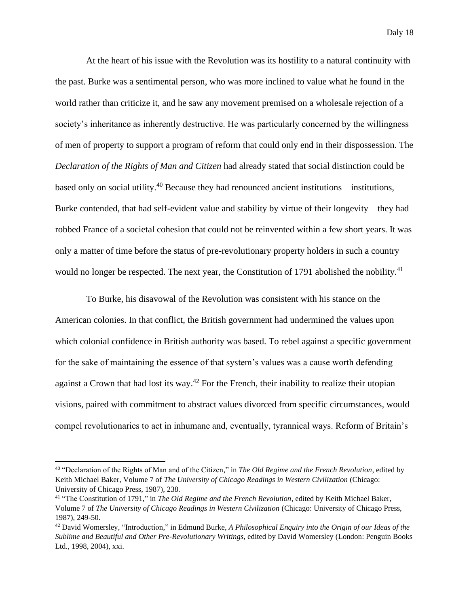At the heart of his issue with the Revolution was its hostility to a natural continuity with the past. Burke was a sentimental person, who was more inclined to value what he found in the world rather than criticize it, and he saw any movement premised on a wholesale rejection of a society's inheritance as inherently destructive. He was particularly concerned by the willingness of men of property to support a program of reform that could only end in their dispossession. The *Declaration of the Rights of Man and Citizen* had already stated that social distinction could be based only on social utility.<sup>40</sup> Because they had renounced ancient institutions—institutions, Burke contended, that had self-evident value and stability by virtue of their longevity—they had robbed France of a societal cohesion that could not be reinvented within a few short years. It was only a matter of time before the status of pre-revolutionary property holders in such a country would no longer be respected. The next year, the Constitution of 1791 abolished the nobility.<sup>41</sup>

To Burke, his disavowal of the Revolution was consistent with his stance on the American colonies. In that conflict, the British government had undermined the values upon which colonial confidence in British authority was based. To rebel against a specific government for the sake of maintaining the essence of that system's values was a cause worth defending against a Crown that had lost its way.<sup>42</sup> For the French, their inability to realize their utopian visions, paired with commitment to abstract values divorced from specific circumstances, would compel revolutionaries to act in inhumane and, eventually, tyrannical ways. Reform of Britain's

<sup>40</sup> "Declaration of the Rights of Man and of the Citizen," in *The Old Regime and the French Revolution*, edited by Keith Michael Baker, Volume 7 of *The University of Chicago Readings in Western Civilization* (Chicago: University of Chicago Press, 1987), 238.

<sup>41</sup> "The Constitution of 1791," in *The Old Regime and the French Revolution*, edited by Keith Michael Baker, Volume 7 of *The University of Chicago Readings in Western Civilization* (Chicago: University of Chicago Press, 1987), 249-50.

<sup>42</sup> David Womersley, "Introduction," in Edmund Burke, *A Philosophical Enquiry into the Origin of our Ideas of the Sublime and Beautiful and Other Pre-Revolutionary Writings*, edited by David Womersley (London: Penguin Books Ltd., 1998, 2004), xxi.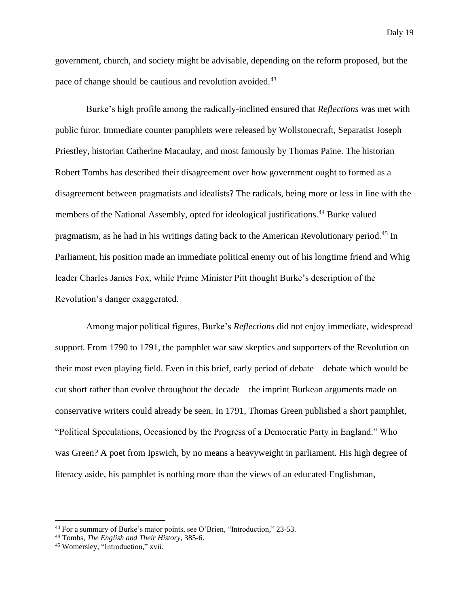government, church, and society might be advisable, depending on the reform proposed, but the pace of change should be cautious and revolution avoided.<sup>43</sup>

Burke's high profile among the radically-inclined ensured that *Reflections* was met with public furor. Immediate counter pamphlets were released by Wollstonecraft, Separatist Joseph Priestley, historian Catherine Macaulay, and most famously by Thomas Paine. The historian Robert Tombs has described their disagreement over how government ought to formed as a disagreement between pragmatists and idealists? The radicals, being more or less in line with the members of the National Assembly, opted for ideological justifications.<sup>44</sup> Burke valued pragmatism, as he had in his writings dating back to the American Revolutionary period.<sup>45</sup> In Parliament, his position made an immediate political enemy out of his longtime friend and Whig leader Charles James Fox, while Prime Minister Pitt thought Burke's description of the Revolution's danger exaggerated.

Among major political figures, Burke's *Reflections* did not enjoy immediate, widespread support. From 1790 to 1791, the pamphlet war saw skeptics and supporters of the Revolution on their most even playing field. Even in this brief, early period of debate—debate which would be cut short rather than evolve throughout the decade—the imprint Burkean arguments made on conservative writers could already be seen. In 1791, Thomas Green published a short pamphlet, "Political Speculations, Occasioned by the Progress of a Democratic Party in England." Who was Green? A poet from Ipswich, by no means a heavyweight in parliament. His high degree of literacy aside, his pamphlet is nothing more than the views of an educated Englishman,

<sup>43</sup> For a summary of Burke's major points, see O'Brien, "Introduction," 23-53.

<sup>44</sup> Tombs, *The English and Their History*, 385-6.

<sup>45</sup> Womersley, "Introduction," xvii.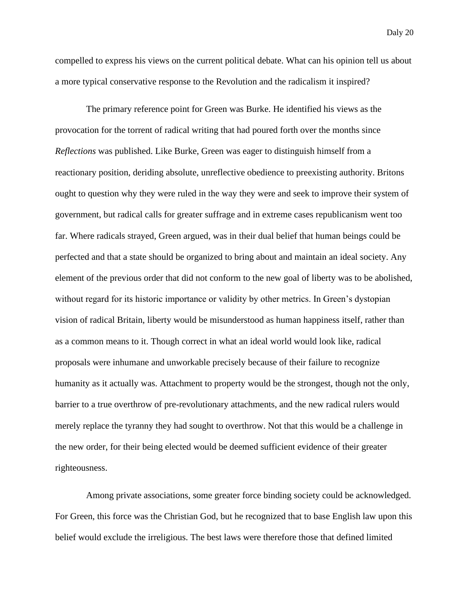compelled to express his views on the current political debate. What can his opinion tell us about a more typical conservative response to the Revolution and the radicalism it inspired?

The primary reference point for Green was Burke. He identified his views as the provocation for the torrent of radical writing that had poured forth over the months since *Reflections* was published. Like Burke, Green was eager to distinguish himself from a reactionary position, deriding absolute, unreflective obedience to preexisting authority. Britons ought to question why they were ruled in the way they were and seek to improve their system of government, but radical calls for greater suffrage and in extreme cases republicanism went too far. Where radicals strayed, Green argued, was in their dual belief that human beings could be perfected and that a state should be organized to bring about and maintain an ideal society. Any element of the previous order that did not conform to the new goal of liberty was to be abolished, without regard for its historic importance or validity by other metrics. In Green's dystopian vision of radical Britain, liberty would be misunderstood as human happiness itself, rather than as a common means to it. Though correct in what an ideal world would look like, radical proposals were inhumane and unworkable precisely because of their failure to recognize humanity as it actually was. Attachment to property would be the strongest, though not the only, barrier to a true overthrow of pre-revolutionary attachments, and the new radical rulers would merely replace the tyranny they had sought to overthrow. Not that this would be a challenge in the new order, for their being elected would be deemed sufficient evidence of their greater righteousness.

Among private associations, some greater force binding society could be acknowledged. For Green, this force was the Christian God, but he recognized that to base English law upon this belief would exclude the irreligious. The best laws were therefore those that defined limited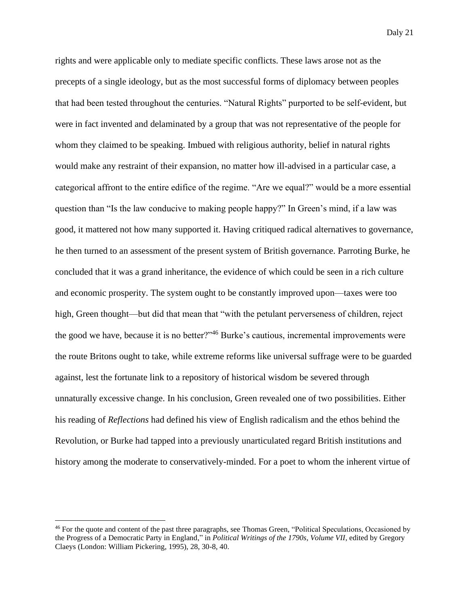rights and were applicable only to mediate specific conflicts. These laws arose not as the precepts of a single ideology, but as the most successful forms of diplomacy between peoples that had been tested throughout the centuries. "Natural Rights" purported to be self-evident, but were in fact invented and delaminated by a group that was not representative of the people for whom they claimed to be speaking. Imbued with religious authority, belief in natural rights would make any restraint of their expansion, no matter how ill-advised in a particular case, a categorical affront to the entire edifice of the regime. "Are we equal?" would be a more essential question than "Is the law conducive to making people happy?" In Green's mind, if a law was good, it mattered not how many supported it. Having critiqued radical alternatives to governance, he then turned to an assessment of the present system of British governance. Parroting Burke, he concluded that it was a grand inheritance, the evidence of which could be seen in a rich culture and economic prosperity. The system ought to be constantly improved upon—taxes were too high, Green thought—but did that mean that "with the petulant perverseness of children, reject the good we have, because it is no better?"<sup>46</sup> Burke's cautious, incremental improvements were the route Britons ought to take, while extreme reforms like universal suffrage were to be guarded against, lest the fortunate link to a repository of historical wisdom be severed through unnaturally excessive change. In his conclusion, Green revealed one of two possibilities. Either his reading of *Reflections* had defined his view of English radicalism and the ethos behind the Revolution, or Burke had tapped into a previously unarticulated regard British institutions and history among the moderate to conservatively-minded. For a poet to whom the inherent virtue of

<sup>46</sup> For the quote and content of the past three paragraphs, see Thomas Green, "Political Speculations, Occasioned by the Progress of a Democratic Party in England," in *Political Writings of the 1790s, Volume VII*, edited by Gregory Claeys (London: William Pickering, 1995), 28, 30-8, 40.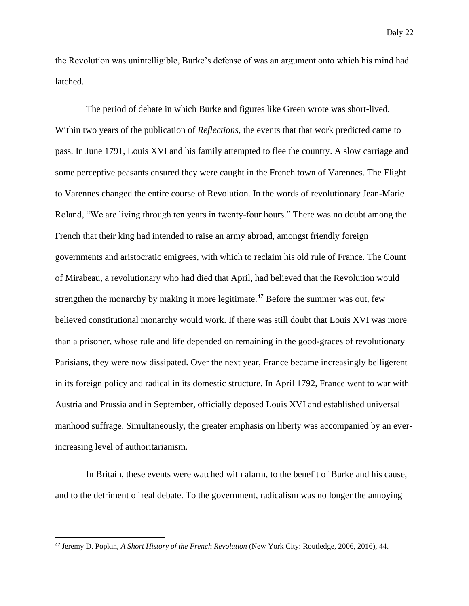the Revolution was unintelligible, Burke's defense of was an argument onto which his mind had latched.

The period of debate in which Burke and figures like Green wrote was short-lived. Within two years of the publication of *Reflections*, the events that that work predicted came to pass. In June 1791, Louis XVI and his family attempted to flee the country. A slow carriage and some perceptive peasants ensured they were caught in the French town of Varennes. The Flight to Varennes changed the entire course of Revolution. In the words of revolutionary Jean-Marie Roland, "We are living through ten years in twenty-four hours." There was no doubt among the French that their king had intended to raise an army abroad, amongst friendly foreign governments and aristocratic emigrees, with which to reclaim his old rule of France. The Count of Mirabeau, a revolutionary who had died that April, had believed that the Revolution would strengthen the monarchy by making it more legitimate.<sup>47</sup> Before the summer was out, few believed constitutional monarchy would work. If there was still doubt that Louis XVI was more than a prisoner, whose rule and life depended on remaining in the good-graces of revolutionary Parisians, they were now dissipated. Over the next year, France became increasingly belligerent in its foreign policy and radical in its domestic structure. In April 1792, France went to war with Austria and Prussia and in September, officially deposed Louis XVI and established universal manhood suffrage. Simultaneously, the greater emphasis on liberty was accompanied by an everincreasing level of authoritarianism.

In Britain, these events were watched with alarm, to the benefit of Burke and his cause, and to the detriment of real debate. To the government, radicalism was no longer the annoying

<sup>47</sup> Jeremy D. Popkin, *A Short History of the French Revolution* (New York City: Routledge, 2006, 2016), 44.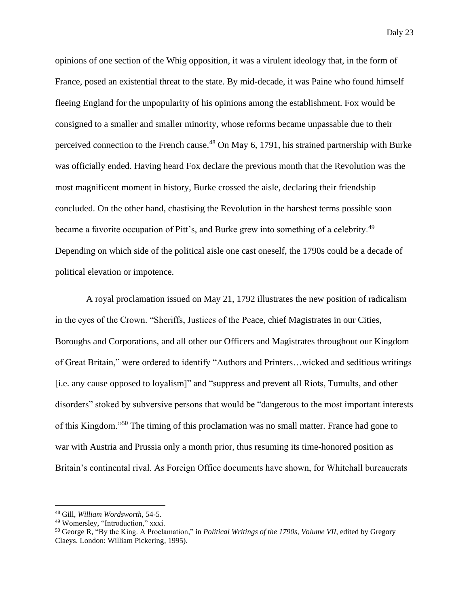opinions of one section of the Whig opposition, it was a virulent ideology that, in the form of France, posed an existential threat to the state. By mid-decade, it was Paine who found himself fleeing England for the unpopularity of his opinions among the establishment. Fox would be consigned to a smaller and smaller minority, whose reforms became unpassable due to their perceived connection to the French cause.<sup>48</sup> On May 6, 1791, his strained partnership with Burke was officially ended. Having heard Fox declare the previous month that the Revolution was the most magnificent moment in history, Burke crossed the aisle, declaring their friendship concluded. On the other hand, chastising the Revolution in the harshest terms possible soon became a favorite occupation of Pitt's, and Burke grew into something of a celebrity.<sup>49</sup> Depending on which side of the political aisle one cast oneself, the 1790s could be a decade of political elevation or impotence.

A royal proclamation issued on May 21, 1792 illustrates the new position of radicalism in the eyes of the Crown. "Sheriffs, Justices of the Peace, chief Magistrates in our Cities, Boroughs and Corporations, and all other our Officers and Magistrates throughout our Kingdom of Great Britain," were ordered to identify "Authors and Printers…wicked and seditious writings [i.e. any cause opposed to loyalism]" and "suppress and prevent all Riots, Tumults, and other disorders" stoked by subversive persons that would be "dangerous to the most important interests of this Kingdom."<sup>50</sup> The timing of this proclamation was no small matter. France had gone to war with Austria and Prussia only a month prior, thus resuming its time-honored position as Britain's continental rival. As Foreign Office documents have shown, for Whitehall bureaucrats

<sup>48</sup> Gill, *William Wordsworth*, 54-5.

<sup>49</sup> Womersley, "Introduction," xxxi.

<sup>50</sup> George R, "By the King. A Proclamation," in *Political Writings of the 1790s, Volume VII*, edited by Gregory Claeys. London: William Pickering, 1995).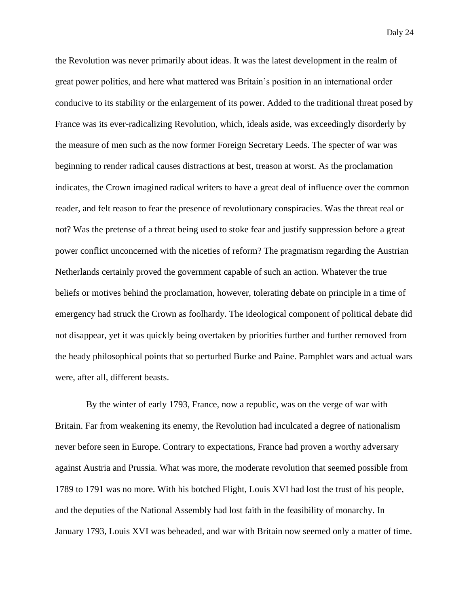the Revolution was never primarily about ideas. It was the latest development in the realm of great power politics, and here what mattered was Britain's position in an international order conducive to its stability or the enlargement of its power. Added to the traditional threat posed by France was its ever-radicalizing Revolution, which, ideals aside, was exceedingly disorderly by the measure of men such as the now former Foreign Secretary Leeds. The specter of war was beginning to render radical causes distractions at best, treason at worst. As the proclamation indicates, the Crown imagined radical writers to have a great deal of influence over the common reader, and felt reason to fear the presence of revolutionary conspiracies. Was the threat real or not? Was the pretense of a threat being used to stoke fear and justify suppression before a great power conflict unconcerned with the niceties of reform? The pragmatism regarding the Austrian Netherlands certainly proved the government capable of such an action. Whatever the true beliefs or motives behind the proclamation, however, tolerating debate on principle in a time of emergency had struck the Crown as foolhardy. The ideological component of political debate did not disappear, yet it was quickly being overtaken by priorities further and further removed from the heady philosophical points that so perturbed Burke and Paine. Pamphlet wars and actual wars were, after all, different beasts.

By the winter of early 1793, France, now a republic, was on the verge of war with Britain. Far from weakening its enemy, the Revolution had inculcated a degree of nationalism never before seen in Europe. Contrary to expectations, France had proven a worthy adversary against Austria and Prussia. What was more, the moderate revolution that seemed possible from 1789 to 1791 was no more. With his botched Flight, Louis XVI had lost the trust of his people, and the deputies of the National Assembly had lost faith in the feasibility of monarchy. In January 1793, Louis XVI was beheaded, and war with Britain now seemed only a matter of time.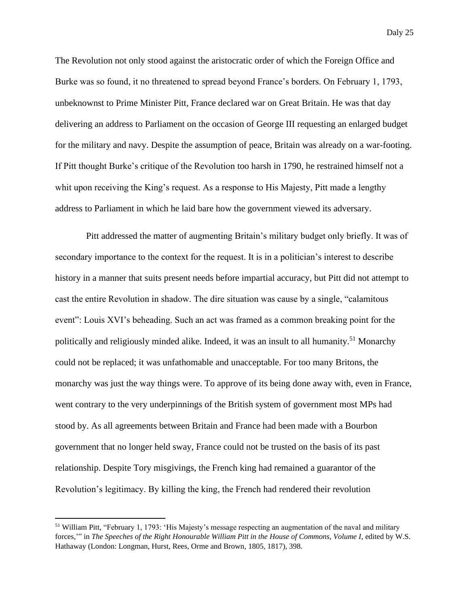The Revolution not only stood against the aristocratic order of which the Foreign Office and Burke was so found, it no threatened to spread beyond France's borders. On February 1, 1793, unbeknownst to Prime Minister Pitt, France declared war on Great Britain. He was that day delivering an address to Parliament on the occasion of George III requesting an enlarged budget for the military and navy. Despite the assumption of peace, Britain was already on a war-footing. If Pitt thought Burke's critique of the Revolution too harsh in 1790, he restrained himself not a whit upon receiving the King's request. As a response to His Majesty, Pitt made a lengthy address to Parliament in which he laid bare how the government viewed its adversary.

Pitt addressed the matter of augmenting Britain's military budget only briefly. It was of secondary importance to the context for the request. It is in a politician's interest to describe history in a manner that suits present needs before impartial accuracy, but Pitt did not attempt to cast the entire Revolution in shadow. The dire situation was cause by a single, "calamitous event": Louis XVI's beheading. Such an act was framed as a common breaking point for the politically and religiously minded alike. Indeed, it was an insult to all humanity.<sup>51</sup> Monarchy could not be replaced; it was unfathomable and unacceptable. For too many Britons, the monarchy was just the way things were. To approve of its being done away with, even in France, went contrary to the very underpinnings of the British system of government most MPs had stood by. As all agreements between Britain and France had been made with a Bourbon government that no longer held sway, France could not be trusted on the basis of its past relationship. Despite Tory misgivings, the French king had remained a guarantor of the Revolution's legitimacy. By killing the king, the French had rendered their revolution

<sup>51</sup> William Pitt, "February 1, 1793: 'His Majesty's message respecting an augmentation of the naval and military forces,'" in *The Speeches of the Right Honourable William Pitt in the House of Commons, Volume I*, edited by W.S. Hathaway (London: Longman, Hurst, Rees, Orme and Brown, 1805, 1817), 398.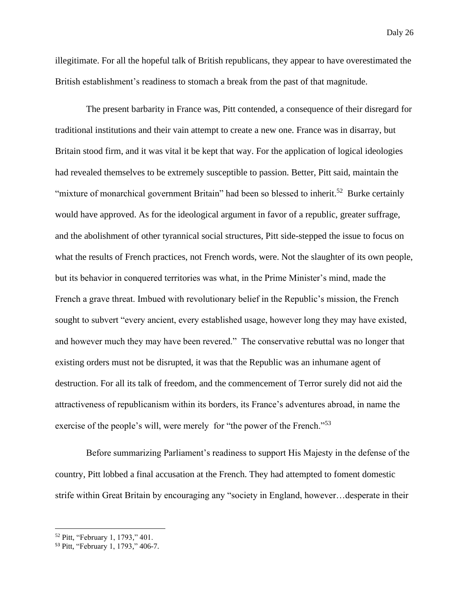illegitimate. For all the hopeful talk of British republicans, they appear to have overestimated the British establishment's readiness to stomach a break from the past of that magnitude.

The present barbarity in France was, Pitt contended, a consequence of their disregard for traditional institutions and their vain attempt to create a new one. France was in disarray, but Britain stood firm, and it was vital it be kept that way. For the application of logical ideologies had revealed themselves to be extremely susceptible to passion. Better, Pitt said, maintain the "mixture of monarchical government Britain" had been so blessed to inherit.<sup>52</sup> Burke certainly would have approved. As for the ideological argument in favor of a republic, greater suffrage, and the abolishment of other tyrannical social structures, Pitt side-stepped the issue to focus on what the results of French practices, not French words, were. Not the slaughter of its own people, but its behavior in conquered territories was what, in the Prime Minister's mind, made the French a grave threat. Imbued with revolutionary belief in the Republic's mission, the French sought to subvert "every ancient, every established usage, however long they may have existed, and however much they may have been revered." The conservative rebuttal was no longer that existing orders must not be disrupted, it was that the Republic was an inhumane agent of destruction. For all its talk of freedom, and the commencement of Terror surely did not aid the attractiveness of republicanism within its borders, its France's adventures abroad, in name the exercise of the people's will, were merely for "the power of the French."<sup>53</sup>

Before summarizing Parliament's readiness to support His Majesty in the defense of the country, Pitt lobbed a final accusation at the French. They had attempted to foment domestic strife within Great Britain by encouraging any "society in England, however…desperate in their

<sup>52</sup> Pitt, "February 1, 1793," 401.

<sup>53</sup> Pitt, "February 1, 1793," 406-7.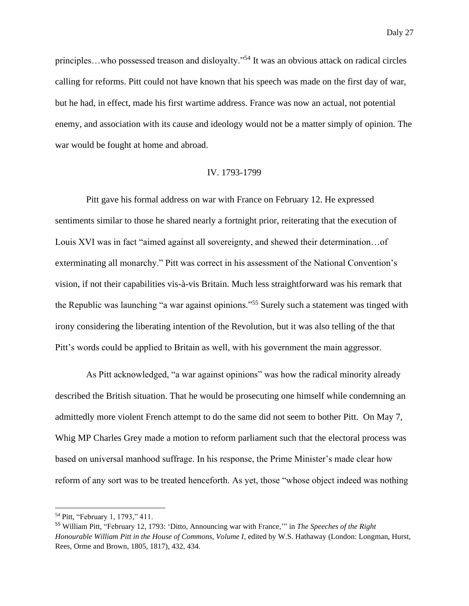principles…who possessed treason and disloyalty."<sup>54</sup> It was an obvious attack on radical circles calling for reforms. Pitt could not have known that his speech was made on the first day of war, but he had, in effect, made his first wartime address. France was now an actual, not potential enemy, and association with its cause and ideology would not be a matter simply of opinion. The war would be fought at home and abroad.

#### IV. 1793-1799

Pitt gave his formal address on war with France on February 12. He expressed sentiments similar to those he shared nearly a fortnight prior, reiterating that the execution of Louis XVI was in fact "aimed against all sovereignty, and shewed their determination…of exterminating all monarchy." Pitt was correct in his assessment of the National Convention's vision, if not their capabilities vis-à-vis Britain. Much less straightforward was his remark that the Republic was launching "a war against opinions."<sup>55</sup> Surely such a statement was tinged with irony considering the liberating intention of the Revolution, but it was also telling of the that Pitt's words could be applied to Britain as well, with his government the main aggressor.

As Pitt acknowledged, "a war against opinions" was how the radical minority already described the British situation. That he would be prosecuting one himself while condemning an admittedly more violent French attempt to do the same did not seem to bother Pitt. On May 7, Whig MP Charles Grey made a motion to reform parliament such that the electoral process was based on universal manhood suffrage. In his response, the Prime Minister's made clear how reform of any sort was to be treated henceforth. As yet, those "whose object indeed was nothing

<sup>54</sup> Pitt, "February 1, 1793," 411.

<sup>55</sup> William Pitt, "February 12, 1793: 'Ditto, Announcing war with France,'" in *The Speeches of the Right Honourable William Pitt in the House of Commons, Volume I*, edited by W.S. Hathaway (London: Longman, Hurst, Rees, Orme and Brown, 1805, 1817), 432, 434.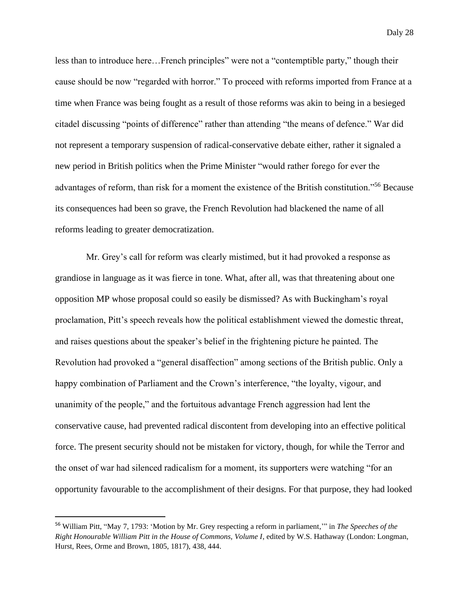less than to introduce here…French principles" were not a "contemptible party," though their cause should be now "regarded with horror." To proceed with reforms imported from France at a time when France was being fought as a result of those reforms was akin to being in a besieged citadel discussing "points of difference" rather than attending "the means of defence." War did not represent a temporary suspension of radical-conservative debate either, rather it signaled a new period in British politics when the Prime Minister "would rather forego for ever the advantages of reform, than risk for a moment the existence of the British constitution."<sup>56</sup> Because its consequences had been so grave, the French Revolution had blackened the name of all reforms leading to greater democratization.

Mr. Grey's call for reform was clearly mistimed, but it had provoked a response as grandiose in language as it was fierce in tone. What, after all, was that threatening about one opposition MP whose proposal could so easily be dismissed? As with Buckingham's royal proclamation, Pitt's speech reveals how the political establishment viewed the domestic threat, and raises questions about the speaker's belief in the frightening picture he painted. The Revolution had provoked a "general disaffection" among sections of the British public. Only a happy combination of Parliament and the Crown's interference, "the loyalty, vigour, and unanimity of the people," and the fortuitous advantage French aggression had lent the conservative cause, had prevented radical discontent from developing into an effective political force. The present security should not be mistaken for victory, though, for while the Terror and the onset of war had silenced radicalism for a moment, its supporters were watching "for an opportunity favourable to the accomplishment of their designs. For that purpose, they had looked

<sup>56</sup> William Pitt, "May 7, 1793: 'Motion by Mr. Grey respecting a reform in parliament,'" in *The Speeches of the Right Honourable William Pitt in the House of Commons, Volume I*, edited by W.S. Hathaway (London: Longman, Hurst, Rees, Orme and Brown, 1805, 1817), 438, 444.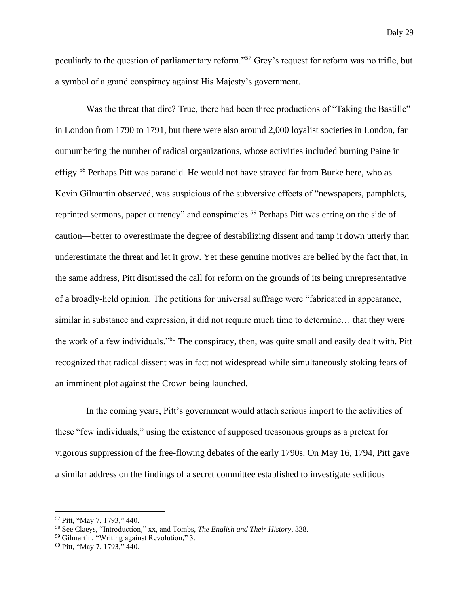peculiarly to the question of parliamentary reform."<sup>57</sup> Grey's request for reform was no trifle, but a symbol of a grand conspiracy against His Majesty's government.

Was the threat that dire? True, there had been three productions of "Taking the Bastille" in London from 1790 to 1791, but there were also around 2,000 loyalist societies in London, far outnumbering the number of radical organizations, whose activities included burning Paine in effigy.<sup>58</sup> Perhaps Pitt was paranoid. He would not have strayed far from Burke here, who as Kevin Gilmartin observed, was suspicious of the subversive effects of "newspapers, pamphlets, reprinted sermons, paper currency" and conspiracies.<sup>59</sup> Perhaps Pitt was erring on the side of caution—better to overestimate the degree of destabilizing dissent and tamp it down utterly than underestimate the threat and let it grow. Yet these genuine motives are belied by the fact that, in the same address, Pitt dismissed the call for reform on the grounds of its being unrepresentative of a broadly-held opinion. The petitions for universal suffrage were "fabricated in appearance, similar in substance and expression, it did not require much time to determine… that they were the work of a few individuals."<sup>60</sup> The conspiracy, then, was quite small and easily dealt with. Pitt recognized that radical dissent was in fact not widespread while simultaneously stoking fears of an imminent plot against the Crown being launched.

In the coming years, Pitt's government would attach serious import to the activities of these "few individuals," using the existence of supposed treasonous groups as a pretext for vigorous suppression of the free-flowing debates of the early 1790s. On May 16, 1794, Pitt gave a similar address on the findings of a secret committee established to investigate seditious

<sup>57</sup> Pitt, "May 7, 1793," 440.

<sup>58</sup> See Claeys, "Introduction," xx, and Tombs, *The English and Their History*, 338.

<sup>59</sup> Gilmartin, "Writing against Revolution," 3.

<sup>60</sup> Pitt, "May 7, 1793," 440.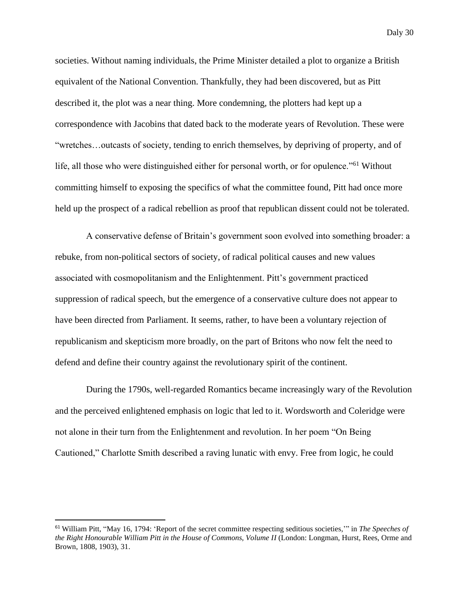societies. Without naming individuals, the Prime Minister detailed a plot to organize a British equivalent of the National Convention. Thankfully, they had been discovered, but as Pitt described it, the plot was a near thing. More condemning, the plotters had kept up a correspondence with Jacobins that dated back to the moderate years of Revolution. These were "wretches…outcasts of society, tending to enrich themselves, by depriving of property, and of life, all those who were distinguished either for personal worth, or for opulence."<sup>61</sup> Without committing himself to exposing the specifics of what the committee found, Pitt had once more held up the prospect of a radical rebellion as proof that republican dissent could not be tolerated.

A conservative defense of Britain's government soon evolved into something broader: a rebuke, from non-political sectors of society, of radical political causes and new values associated with cosmopolitanism and the Enlightenment. Pitt's government practiced suppression of radical speech, but the emergence of a conservative culture does not appear to have been directed from Parliament. It seems, rather, to have been a voluntary rejection of republicanism and skepticism more broadly, on the part of Britons who now felt the need to defend and define their country against the revolutionary spirit of the continent.

During the 1790s, well-regarded Romantics became increasingly wary of the Revolution and the perceived enlightened emphasis on logic that led to it. Wordsworth and Coleridge were not alone in their turn from the Enlightenment and revolution. In her poem "On Being Cautioned," Charlotte Smith described a raving lunatic with envy. Free from logic, he could

<sup>61</sup> William Pitt, "May 16, 1794: 'Report of the secret committee respecting seditious societies*,*'" in *The Speeches of the Right Honourable William Pitt in the House of Commons, Volume II* (London: Longman, Hurst, Rees, Orme and Brown, 1808, 1903), 31.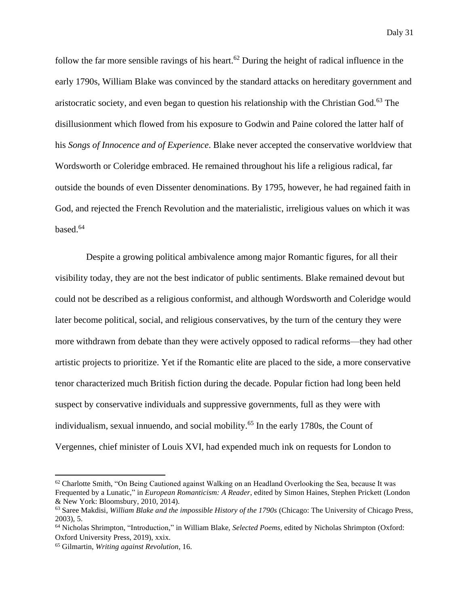follow the far more sensible ravings of his heart.<sup>62</sup> During the height of radical influence in the early 1790s, William Blake was convinced by the standard attacks on hereditary government and aristocratic society, and even began to question his relationship with the Christian God.<sup>63</sup> The disillusionment which flowed from his exposure to Godwin and Paine colored the latter half of his *Songs of Innocence and of Experience*. Blake never accepted the conservative worldview that Wordsworth or Coleridge embraced. He remained throughout his life a religious radical, far outside the bounds of even Dissenter denominations. By 1795, however, he had regained faith in God, and rejected the French Revolution and the materialistic, irreligious values on which it was based.<sup>64</sup>

Despite a growing political ambivalence among major Romantic figures, for all their visibility today, they are not the best indicator of public sentiments. Blake remained devout but could not be described as a religious conformist, and although Wordsworth and Coleridge would later become political, social, and religious conservatives, by the turn of the century they were more withdrawn from debate than they were actively opposed to radical reforms—they had other artistic projects to prioritize. Yet if the Romantic elite are placed to the side, a more conservative tenor characterized much British fiction during the decade. Popular fiction had long been held suspect by conservative individuals and suppressive governments, full as they were with individualism, sexual innuendo, and social mobility.<sup>65</sup> In the early 1780s, the Count of Vergennes, chief minister of Louis XVI, had expended much ink on requests for London to

 $62$  Charlotte Smith, "On Being Cautioned against Walking on an Headland Overlooking the Sea, because It was Frequented by a Lunatic," in *European Romanticism: A Reader*, edited by Simon Haines, Stephen Prickett (London & New York: Bloomsbury, 2010, 2014).

<sup>63</sup> Saree Makdisi, *William Blake and the impossible History of the 1790s* (Chicago: The University of Chicago Press, 2003), 5.

<sup>64</sup> Nicholas Shrimpton, "Introduction," in William Blake, *Selected Poems*, edited by Nicholas Shrimpton (Oxford: Oxford University Press, 2019), xxix.

<sup>65</sup> Gilmartin, *Writing against Revolution*, 16.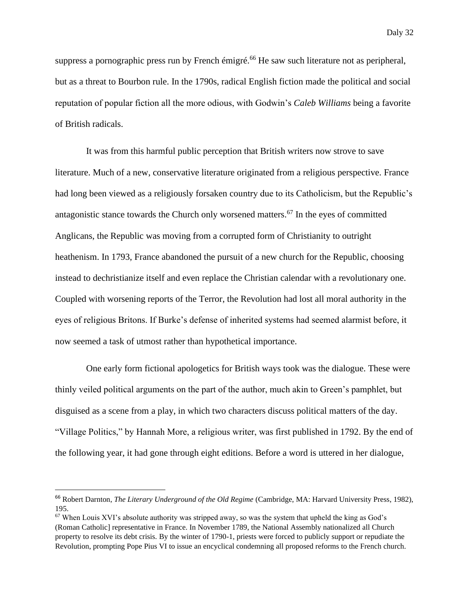suppress a pornographic press run by French émigré.<sup>66</sup> He saw such literature not as peripheral, but as a threat to Bourbon rule. In the 1790s, radical English fiction made the political and social reputation of popular fiction all the more odious, with Godwin's *Caleb Williams* being a favorite of British radicals.

It was from this harmful public perception that British writers now strove to save literature. Much of a new, conservative literature originated from a religious perspective. France had long been viewed as a religiously forsaken country due to its Catholicism, but the Republic's antagonistic stance towards the Church only worsened matters.<sup>67</sup> In the eyes of committed Anglicans, the Republic was moving from a corrupted form of Christianity to outright heathenism. In 1793, France abandoned the pursuit of a new church for the Republic, choosing instead to dechristianize itself and even replace the Christian calendar with a revolutionary one. Coupled with worsening reports of the Terror, the Revolution had lost all moral authority in the eyes of religious Britons. If Burke's defense of inherited systems had seemed alarmist before, it now seemed a task of utmost rather than hypothetical importance.

One early form fictional apologetics for British ways took was the dialogue. These were thinly veiled political arguments on the part of the author, much akin to Green's pamphlet, but disguised as a scene from a play, in which two characters discuss political matters of the day. "Village Politics," by Hannah More, a religious writer, was first published in 1792. By the end of the following year, it had gone through eight editions. Before a word is uttered in her dialogue,

<sup>66</sup> Robert Darnton, *The Literary Underground of the Old Regime* (Cambridge, MA: Harvard University Press, 1982), 195.

 $67$  When Louis XVI's absolute authority was stripped away, so was the system that upheld the king as God's (Roman Catholic] representative in France. In November 1789, the National Assembly nationalized all Church property to resolve its debt crisis. By the winter of 1790-1, priests were forced to publicly support or repudiate the Revolution, prompting Pope Pius VI to issue an encyclical condemning all proposed reforms to the French church.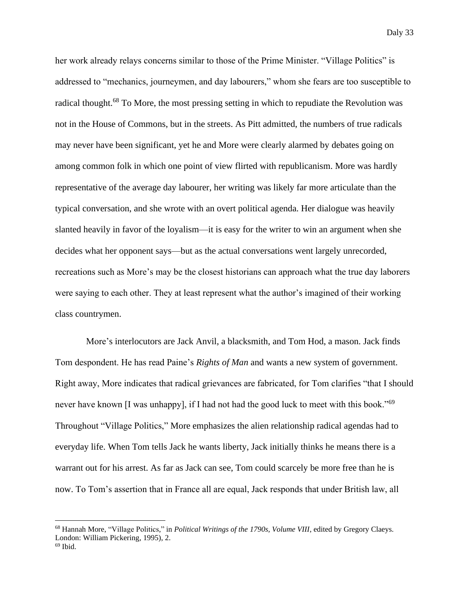her work already relays concerns similar to those of the Prime Minister. "Village Politics" is addressed to "mechanics, journeymen, and day labourers," whom she fears are too susceptible to radical thought.<sup>68</sup> To More, the most pressing setting in which to repudiate the Revolution was not in the House of Commons, but in the streets. As Pitt admitted, the numbers of true radicals may never have been significant, yet he and More were clearly alarmed by debates going on among common folk in which one point of view flirted with republicanism. More was hardly representative of the average day labourer, her writing was likely far more articulate than the typical conversation, and she wrote with an overt political agenda. Her dialogue was heavily slanted heavily in favor of the loyalism—it is easy for the writer to win an argument when she decides what her opponent says—but as the actual conversations went largely unrecorded, recreations such as More's may be the closest historians can approach what the true day laborers were saying to each other. They at least represent what the author's imagined of their working class countrymen.

More's interlocutors are Jack Anvil, a blacksmith, and Tom Hod, a mason. Jack finds Tom despondent. He has read Paine's *Rights of Man* and wants a new system of government. Right away, More indicates that radical grievances are fabricated, for Tom clarifies "that I should never have known [I was unhappy], if I had not had the good luck to meet with this book."<sup>69</sup> Throughout "Village Politics," More emphasizes the alien relationship radical agendas had to everyday life. When Tom tells Jack he wants liberty, Jack initially thinks he means there is a warrant out for his arrest. As far as Jack can see, Tom could scarcely be more free than he is now. To Tom's assertion that in France all are equal, Jack responds that under British law, all

<sup>68</sup> Hannah More, "Village Politics," in *Political Writings of the 1790s, Volume VIII*, edited by Gregory Claeys. London: William Pickering, 1995), 2.

 $69$  Ibid.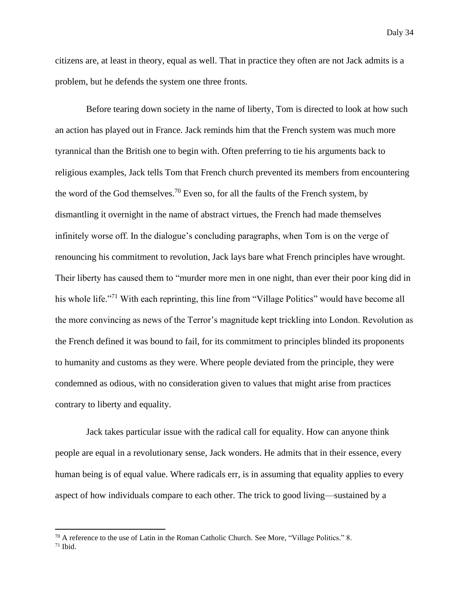citizens are, at least in theory, equal as well. That in practice they often are not Jack admits is a problem, but he defends the system one three fronts.

Before tearing down society in the name of liberty, Tom is directed to look at how such an action has played out in France. Jack reminds him that the French system was much more tyrannical than the British one to begin with. Often preferring to tie his arguments back to religious examples, Jack tells Tom that French church prevented its members from encountering the word of the God themselves.<sup>70</sup> Even so, for all the faults of the French system, by dismantling it overnight in the name of abstract virtues, the French had made themselves infinitely worse off. In the dialogue's concluding paragraphs, when Tom is on the verge of renouncing his commitment to revolution, Jack lays bare what French principles have wrought. Their liberty has caused them to "murder more men in one night, than ever their poor king did in his whole life."<sup>71</sup> With each reprinting, this line from "Village Politics" would have become all the more convincing as news of the Terror's magnitude kept trickling into London. Revolution as the French defined it was bound to fail, for its commitment to principles blinded its proponents to humanity and customs as they were. Where people deviated from the principle, they were condemned as odious, with no consideration given to values that might arise from practices contrary to liberty and equality.

Jack takes particular issue with the radical call for equality. How can anyone think people are equal in a revolutionary sense, Jack wonders. He admits that in their essence, every human being is of equal value. Where radicals err, is in assuming that equality applies to every aspect of how individuals compare to each other. The trick to good living—sustained by a

<sup>&</sup>lt;sup>70</sup> A reference to the use of Latin in the Roman Catholic Church. See More, "Village Politics." 8. <sup>71</sup> Ibid.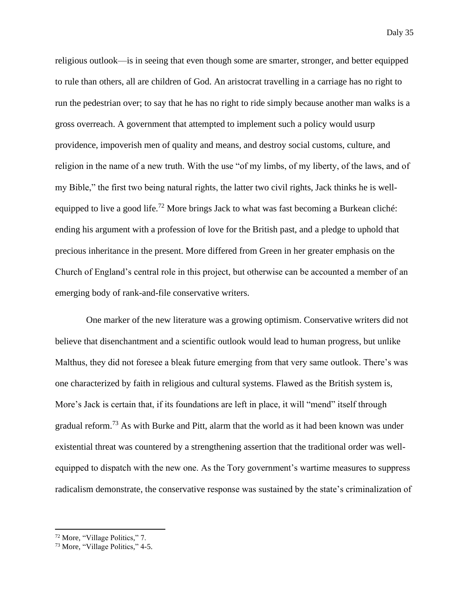religious outlook—is in seeing that even though some are smarter, stronger, and better equipped to rule than others, all are children of God. An aristocrat travelling in a carriage has no right to run the pedestrian over; to say that he has no right to ride simply because another man walks is a gross overreach. A government that attempted to implement such a policy would usurp providence, impoverish men of quality and means, and destroy social customs, culture, and religion in the name of a new truth. With the use "of my limbs, of my liberty, of the laws, and of my Bible," the first two being natural rights, the latter two civil rights, Jack thinks he is wellequipped to live a good life.<sup>72</sup> More brings Jack to what was fast becoming a Burkean cliché: ending his argument with a profession of love for the British past, and a pledge to uphold that precious inheritance in the present. More differed from Green in her greater emphasis on the Church of England's central role in this project, but otherwise can be accounted a member of an emerging body of rank-and-file conservative writers.

One marker of the new literature was a growing optimism. Conservative writers did not believe that disenchantment and a scientific outlook would lead to human progress, but unlike Malthus, they did not foresee a bleak future emerging from that very same outlook. There's was one characterized by faith in religious and cultural systems. Flawed as the British system is, More's Jack is certain that, if its foundations are left in place, it will "mend" itself through gradual reform.<sup>73</sup> As with Burke and Pitt, alarm that the world as it had been known was under existential threat was countered by a strengthening assertion that the traditional order was wellequipped to dispatch with the new one. As the Tory government's wartime measures to suppress radicalism demonstrate, the conservative response was sustained by the state's criminalization of

<sup>72</sup> More, "Village Politics," 7.

<sup>73</sup> More, "Village Politics," 4-5.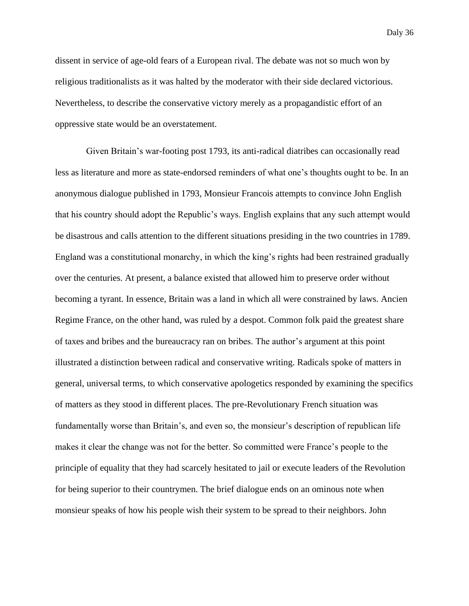dissent in service of age-old fears of a European rival. The debate was not so much won by religious traditionalists as it was halted by the moderator with their side declared victorious. Nevertheless, to describe the conservative victory merely as a propagandistic effort of an oppressive state would be an overstatement.

Given Britain's war-footing post 1793, its anti-radical diatribes can occasionally read less as literature and more as state-endorsed reminders of what one's thoughts ought to be. In an anonymous dialogue published in 1793, Monsieur Francois attempts to convince John English that his country should adopt the Republic's ways. English explains that any such attempt would be disastrous and calls attention to the different situations presiding in the two countries in 1789. England was a constitutional monarchy, in which the king's rights had been restrained gradually over the centuries. At present, a balance existed that allowed him to preserve order without becoming a tyrant. In essence, Britain was a land in which all were constrained by laws. Ancien Regime France, on the other hand, was ruled by a despot. Common folk paid the greatest share of taxes and bribes and the bureaucracy ran on bribes. The author's argument at this point illustrated a distinction between radical and conservative writing. Radicals spoke of matters in general, universal terms, to which conservative apologetics responded by examining the specifics of matters as they stood in different places. The pre-Revolutionary French situation was fundamentally worse than Britain's, and even so, the monsieur's description of republican life makes it clear the change was not for the better. So committed were France's people to the principle of equality that they had scarcely hesitated to jail or execute leaders of the Revolution for being superior to their countrymen. The brief dialogue ends on an ominous note when monsieur speaks of how his people wish their system to be spread to their neighbors. John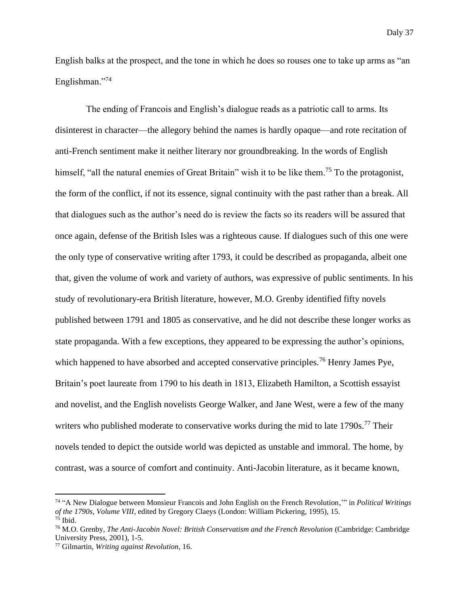English balks at the prospect, and the tone in which he does so rouses one to take up arms as "an Englishman."<sup>74</sup>

The ending of Francois and English's dialogue reads as a patriotic call to arms. Its disinterest in character—the allegory behind the names is hardly opaque—and rote recitation of anti-French sentiment make it neither literary nor groundbreaking. In the words of English himself, "all the natural enemies of Great Britain" wish it to be like them.<sup>75</sup> To the protagonist, the form of the conflict, if not its essence, signal continuity with the past rather than a break. All that dialogues such as the author's need do is review the facts so its readers will be assured that once again, defense of the British Isles was a righteous cause. If dialogues such of this one were the only type of conservative writing after 1793, it could be described as propaganda, albeit one that, given the volume of work and variety of authors, was expressive of public sentiments. In his study of revolutionary-era British literature, however, M.O. Grenby identified fifty novels published between 1791 and 1805 as conservative, and he did not describe these longer works as state propaganda. With a few exceptions, they appeared to be expressing the author's opinions, which happened to have absorbed and accepted conservative principles.<sup>76</sup> Henry James Pye, Britain's poet laureate from 1790 to his death in 1813, Elizabeth Hamilton, a Scottish essayist and novelist, and the English novelists George Walker, and Jane West, were a few of the many writers who published moderate to conservative works during the mid to late  $1790s$ .<sup>77</sup> Their novels tended to depict the outside world was depicted as unstable and immoral. The home, by contrast, was a source of comfort and continuity. Anti-Jacobin literature, as it became known,

<sup>74</sup> "A New Dialogue between Monsieur Francois and John English on the French Revolution,'" in *Political Writings of the 1790s, Volume VIII*, edited by Gregory Claeys (London: William Pickering, 1995), 15.  $75$  Ibid.

<sup>76</sup> M.O. Grenby, *The Anti-Jacobin Novel: British Conservatism and the French Revolution* (Cambridge: Cambridge University Press, 2001), 1-5.

<sup>77</sup> Gilmartin, *Writing against Revolution*, 16.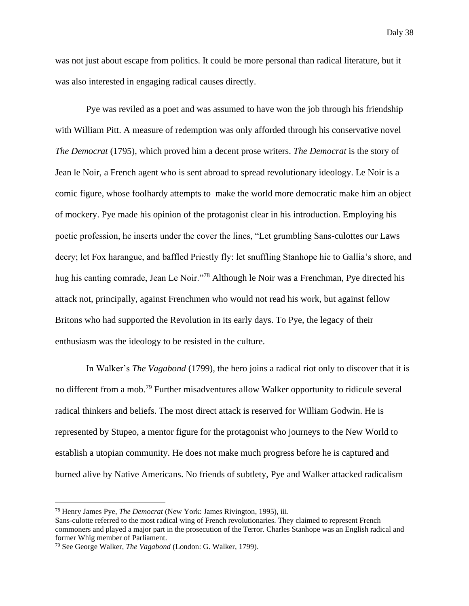was not just about escape from politics. It could be more personal than radical literature, but it was also interested in engaging radical causes directly.

Pye was reviled as a poet and was assumed to have won the job through his friendship with William Pitt. A measure of redemption was only afforded through his conservative novel *The Democrat* (1795), which proved him a decent prose writers. *The Democrat* is the story of Jean le Noir, a French agent who is sent abroad to spread revolutionary ideology. Le Noir is a comic figure, whose foolhardy attempts to make the world more democratic make him an object of mockery. Pye made his opinion of the protagonist clear in his introduction. Employing his poetic profession, he inserts under the cover the lines, "Let grumbling Sans-culottes our Laws decry; let Fox harangue, and baffled Priestly fly: let snuffling Stanhope hie to Gallia's shore, and hug his canting comrade, Jean Le Noir."<sup>78</sup> Although le Noir was a Frenchman, Pye directed his attack not, principally, against Frenchmen who would not read his work, but against fellow Britons who had supported the Revolution in its early days. To Pye, the legacy of their enthusiasm was the ideology to be resisted in the culture.

In Walker's *The Vagabond* (1799), the hero joins a radical riot only to discover that it is no different from a mob.<sup>79</sup> Further misadventures allow Walker opportunity to ridicule several radical thinkers and beliefs. The most direct attack is reserved for William Godwin. He is represented by Stupeo, a mentor figure for the protagonist who journeys to the New World to establish a utopian community. He does not make much progress before he is captured and burned alive by Native Americans. No friends of subtlety, Pye and Walker attacked radicalism

<sup>78</sup> Henry James Pye, *The Democrat* (New York: James Rivington, 1995), iii.

Sans-culotte referred to the most radical wing of French revolutionaries. They claimed to represent French commoners and played a major part in the prosecution of the Terror. Charles Stanhope was an English radical and former Whig member of Parliament.

<sup>79</sup> See George Walker, *The Vagabond* (London: G. Walker, 1799).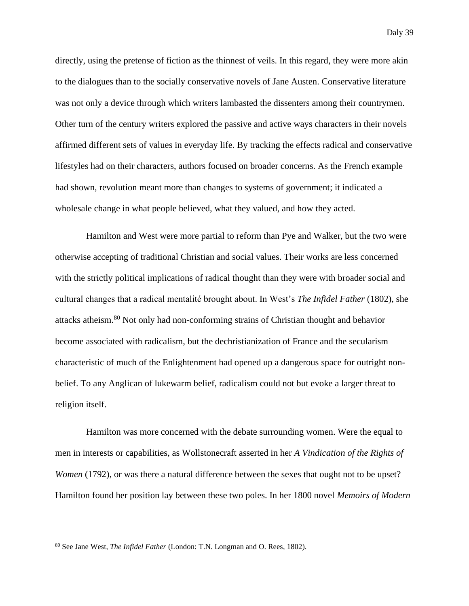directly, using the pretense of fiction as the thinnest of veils. In this regard, they were more akin to the dialogues than to the socially conservative novels of Jane Austen. Conservative literature was not only a device through which writers lambasted the dissenters among their countrymen. Other turn of the century writers explored the passive and active ways characters in their novels affirmed different sets of values in everyday life. By tracking the effects radical and conservative lifestyles had on their characters, authors focused on broader concerns. As the French example had shown, revolution meant more than changes to systems of government; it indicated a wholesale change in what people believed, what they valued, and how they acted.

Hamilton and West were more partial to reform than Pye and Walker, but the two were otherwise accepting of traditional Christian and social values. Their works are less concerned with the strictly political implications of radical thought than they were with broader social and cultural changes that a radical mentalité brought about. In West's *The Infidel Father* (1802), she attacks atheism.<sup>80</sup> Not only had non-conforming strains of Christian thought and behavior become associated with radicalism, but the dechristianization of France and the secularism characteristic of much of the Enlightenment had opened up a dangerous space for outright nonbelief. To any Anglican of lukewarm belief, radicalism could not but evoke a larger threat to religion itself.

Hamilton was more concerned with the debate surrounding women. Were the equal to men in interests or capabilities, as Wollstonecraft asserted in her *A Vindication of the Rights of Women* (1792), or was there a natural difference between the sexes that ought not to be upset? Hamilton found her position lay between these two poles. In her 1800 novel *Memoirs of Modern* 

<sup>80</sup> See Jane West, *The Infidel Father* (London: T.N. Longman and O. Rees, 1802).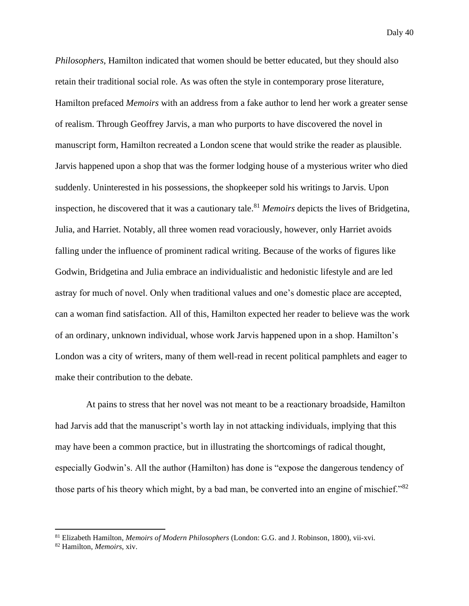*Philosophers*, Hamilton indicated that women should be better educated, but they should also retain their traditional social role. As was often the style in contemporary prose literature, Hamilton prefaced *Memoirs* with an address from a fake author to lend her work a greater sense of realism. Through Geoffrey Jarvis, a man who purports to have discovered the novel in manuscript form, Hamilton recreated a London scene that would strike the reader as plausible. Jarvis happened upon a shop that was the former lodging house of a mysterious writer who died suddenly. Uninterested in his possessions, the shopkeeper sold his writings to Jarvis. Upon inspection, he discovered that it was a cautionary tale.<sup>81</sup> *Memoirs* depicts the lives of Bridgetina, Julia, and Harriet. Notably, all three women read voraciously, however, only Harriet avoids falling under the influence of prominent radical writing. Because of the works of figures like Godwin, Bridgetina and Julia embrace an individualistic and hedonistic lifestyle and are led astray for much of novel. Only when traditional values and one's domestic place are accepted, can a woman find satisfaction. All of this, Hamilton expected her reader to believe was the work of an ordinary, unknown individual, whose work Jarvis happened upon in a shop. Hamilton's London was a city of writers, many of them well-read in recent political pamphlets and eager to make their contribution to the debate.

At pains to stress that her novel was not meant to be a reactionary broadside, Hamilton had Jarvis add that the manuscript's worth lay in not attacking individuals, implying that this may have been a common practice, but in illustrating the shortcomings of radical thought, especially Godwin's. All the author (Hamilton) has done is "expose the dangerous tendency of those parts of his theory which might, by a bad man, be converted into an engine of mischief."<sup>82</sup>

<sup>81</sup> Elizabeth Hamilton, *Memoirs of Modern Philosophers* (London: G.G. and J. Robinson, 1800), vii-xvi.

<sup>82</sup> Hamilton, *Memoirs*, xiv.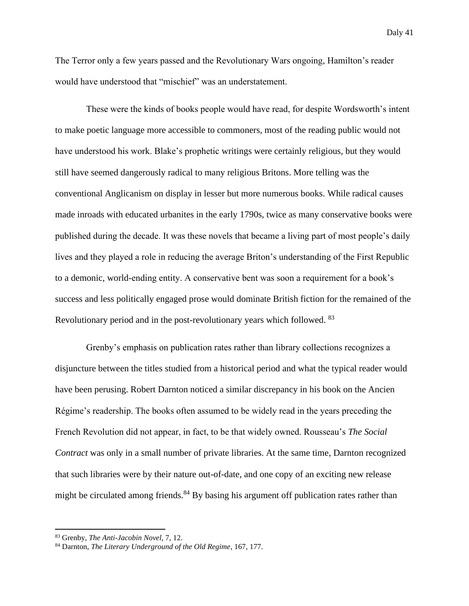The Terror only a few years passed and the Revolutionary Wars ongoing, Hamilton's reader would have understood that "mischief" was an understatement.

These were the kinds of books people would have read, for despite Wordsworth's intent to make poetic language more accessible to commoners, most of the reading public would not have understood his work. Blake's prophetic writings were certainly religious, but they would still have seemed dangerously radical to many religious Britons. More telling was the conventional Anglicanism on display in lesser but more numerous books. While radical causes made inroads with educated urbanites in the early 1790s, twice as many conservative books were published during the decade. It was these novels that became a living part of most people's daily lives and they played a role in reducing the average Briton's understanding of the First Republic to a demonic, world-ending entity. A conservative bent was soon a requirement for a book's success and less politically engaged prose would dominate British fiction for the remained of the Revolutionary period and in the post-revolutionary years which followed. <sup>83</sup>

Grenby's emphasis on publication rates rather than library collections recognizes a disjuncture between the titles studied from a historical period and what the typical reader would have been perusing. Robert Darnton noticed a similar discrepancy in his book on the Ancien Régime's readership. The books often assumed to be widely read in the years preceding the French Revolution did not appear, in fact, to be that widely owned. Rousseau's *The Social Contract* was only in a small number of private libraries. At the same time, Darnton recognized that such libraries were by their nature out-of-date, and one copy of an exciting new release might be circulated among friends.<sup>84</sup> By basing his argument off publication rates rather than

<sup>83</sup> Grenby, *The Anti-Jacobin Novel*, 7, 12.

<sup>84</sup> Darnton, *The Literary Underground of the Old Regime*, 167, 177.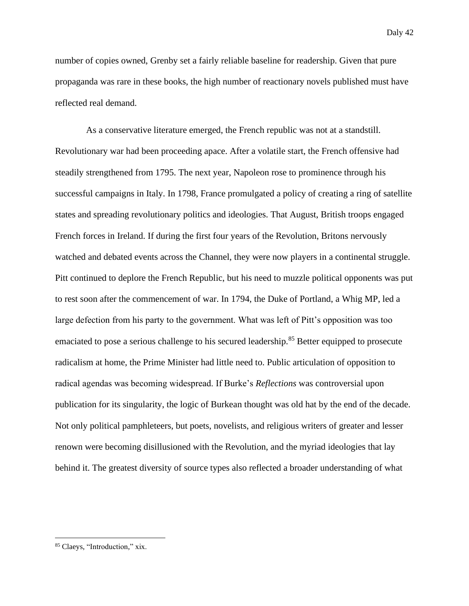number of copies owned, Grenby set a fairly reliable baseline for readership. Given that pure propaganda was rare in these books, the high number of reactionary novels published must have reflected real demand.

As a conservative literature emerged, the French republic was not at a standstill. Revolutionary war had been proceeding apace. After a volatile start, the French offensive had steadily strengthened from 1795. The next year, Napoleon rose to prominence through his successful campaigns in Italy. In 1798, France promulgated a policy of creating a ring of satellite states and spreading revolutionary politics and ideologies. That August, British troops engaged French forces in Ireland. If during the first four years of the Revolution, Britons nervously watched and debated events across the Channel, they were now players in a continental struggle. Pitt continued to deplore the French Republic, but his need to muzzle political opponents was put to rest soon after the commencement of war. In 1794, the Duke of Portland, a Whig MP, led a large defection from his party to the government. What was left of Pitt's opposition was too emaciated to pose a serious challenge to his secured leadership.<sup>85</sup> Better equipped to prosecute radicalism at home, the Prime Minister had little need to. Public articulation of opposition to radical agendas was becoming widespread. If Burke's *Reflections* was controversial upon publication for its singularity, the logic of Burkean thought was old hat by the end of the decade. Not only political pamphleteers, but poets, novelists, and religious writers of greater and lesser renown were becoming disillusioned with the Revolution, and the myriad ideologies that lay behind it. The greatest diversity of source types also reflected a broader understanding of what

<sup>85</sup> Claeys, "Introduction," xix.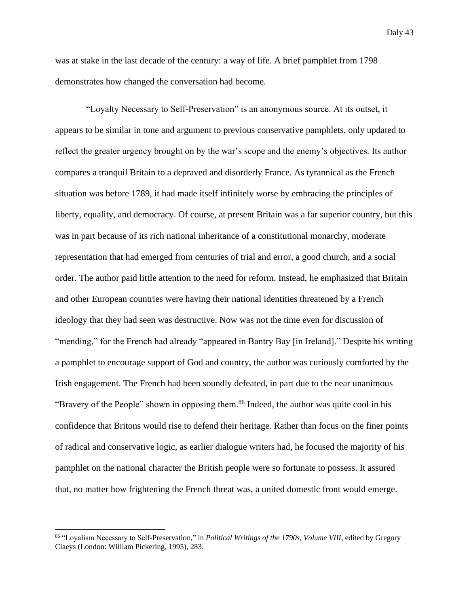was at stake in the last decade of the century: a way of life. A brief pamphlet from 1798 demonstrates how changed the conversation had become.

"Loyalty Necessary to Self-Preservation" is an anonymous source. At its outset, it appears to be similar in tone and argument to previous conservative pamphlets, only updated to reflect the greater urgency brought on by the war's scope and the enemy's objectives. Its author compares a tranquil Britain to a depraved and disorderly France. As tyrannical as the French situation was before 1789, it had made itself infinitely worse by embracing the principles of liberty, equality, and democracy. Of course, at present Britain was a far superior country, but this was in part because of its rich national inheritance of a constitutional monarchy, moderate representation that had emerged from centuries of trial and error, a good church, and a social order. The author paid little attention to the need for reform. Instead, he emphasized that Britain and other European countries were having their national identities threatened by a French ideology that they had seen was destructive. Now was not the time even for discussion of "mending," for the French had already "appeared in Bantry Bay [in Ireland]." Despite his writing a pamphlet to encourage support of God and country, the author was curiously comforted by the Irish engagement. The French had been soundly defeated, in part due to the near unanimous "Bravery of the People" shown in opposing them.<sup>86</sup> Indeed, the author was quite cool in his confidence that Britons would rise to defend their heritage. Rather than focus on the finer points of radical and conservative logic, as earlier dialogue writers had, he focused the majority of his pamphlet on the national character the British people were so fortunate to possess. It assured that, no matter how frightening the French threat was, a united domestic front would emerge.

<sup>86</sup> "Loyalism Necessary to Self-Preservation," in *Political Writings of the 1790s, Volume VIII*, edited by Gregory Claeys (London: William Pickering, 1995), 283.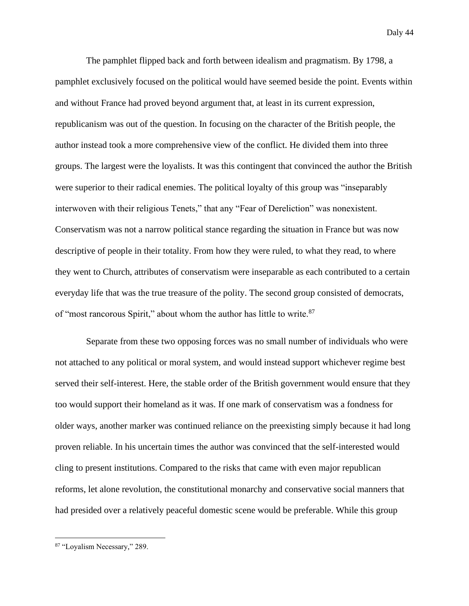The pamphlet flipped back and forth between idealism and pragmatism. By 1798, a pamphlet exclusively focused on the political would have seemed beside the point. Events within and without France had proved beyond argument that, at least in its current expression, republicanism was out of the question. In focusing on the character of the British people, the author instead took a more comprehensive view of the conflict. He divided them into three groups. The largest were the loyalists. It was this contingent that convinced the author the British were superior to their radical enemies. The political loyalty of this group was "inseparably interwoven with their religious Tenets," that any "Fear of Dereliction" was nonexistent. Conservatism was not a narrow political stance regarding the situation in France but was now descriptive of people in their totality. From how they were ruled, to what they read, to where they went to Church, attributes of conservatism were inseparable as each contributed to a certain everyday life that was the true treasure of the polity. The second group consisted of democrats, of "most rancorous Spirit," about whom the author has little to write.<sup>87</sup>

Separate from these two opposing forces was no small number of individuals who were not attached to any political or moral system, and would instead support whichever regime best served their self-interest. Here, the stable order of the British government would ensure that they too would support their homeland as it was. If one mark of conservatism was a fondness for older ways, another marker was continued reliance on the preexisting simply because it had long proven reliable. In his uncertain times the author was convinced that the self-interested would cling to present institutions. Compared to the risks that came with even major republican reforms, let alone revolution, the constitutional monarchy and conservative social manners that had presided over a relatively peaceful domestic scene would be preferable. While this group

<sup>87</sup> "Loyalism Necessary," 289.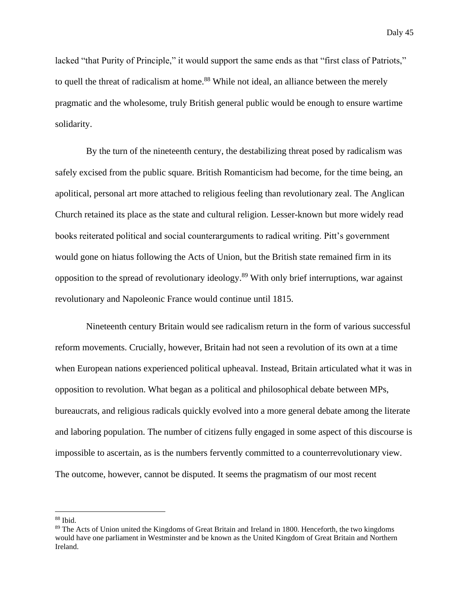lacked "that Purity of Principle," it would support the same ends as that "first class of Patriots," to quell the threat of radicalism at home.<sup>88</sup> While not ideal, an alliance between the merely pragmatic and the wholesome, truly British general public would be enough to ensure wartime solidarity.

By the turn of the nineteenth century, the destabilizing threat posed by radicalism was safely excised from the public square. British Romanticism had become, for the time being, an apolitical, personal art more attached to religious feeling than revolutionary zeal. The Anglican Church retained its place as the state and cultural religion. Lesser-known but more widely read books reiterated political and social counterarguments to radical writing. Pitt's government would gone on hiatus following the Acts of Union, but the British state remained firm in its opposition to the spread of revolutionary ideology.<sup>89</sup> With only brief interruptions, war against revolutionary and Napoleonic France would continue until 1815.

Nineteenth century Britain would see radicalism return in the form of various successful reform movements. Crucially, however, Britain had not seen a revolution of its own at a time when European nations experienced political upheaval. Instead, Britain articulated what it was in opposition to revolution. What began as a political and philosophical debate between MPs, bureaucrats, and religious radicals quickly evolved into a more general debate among the literate and laboring population. The number of citizens fully engaged in some aspect of this discourse is impossible to ascertain, as is the numbers fervently committed to a counterrevolutionary view. The outcome, however, cannot be disputed. It seems the pragmatism of our most recent

 $88$  Ibid.

<sup>&</sup>lt;sup>89</sup> The Acts of Union united the Kingdoms of Great Britain and Ireland in 1800. Henceforth, the two kingdoms would have one parliament in Westminster and be known as the United Kingdom of Great Britain and Northern Ireland.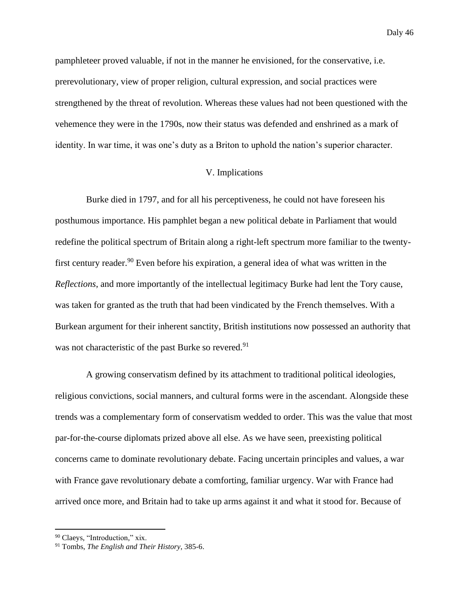pamphleteer proved valuable, if not in the manner he envisioned, for the conservative, i.e. prerevolutionary, view of proper religion, cultural expression, and social practices were strengthened by the threat of revolution. Whereas these values had not been questioned with the vehemence they were in the 1790s, now their status was defended and enshrined as a mark of identity. In war time, it was one's duty as a Briton to uphold the nation's superior character.

# V. Implications

Burke died in 1797, and for all his perceptiveness, he could not have foreseen his posthumous importance. His pamphlet began a new political debate in Parliament that would redefine the political spectrum of Britain along a right-left spectrum more familiar to the twentyfirst century reader.<sup>90</sup> Even before his expiration, a general idea of what was written in the *Reflections*, and more importantly of the intellectual legitimacy Burke had lent the Tory cause, was taken for granted as the truth that had been vindicated by the French themselves. With a Burkean argument for their inherent sanctity, British institutions now possessed an authority that was not characteristic of the past Burke so revered.<sup>91</sup>

A growing conservatism defined by its attachment to traditional political ideologies, religious convictions, social manners, and cultural forms were in the ascendant. Alongside these trends was a complementary form of conservatism wedded to order. This was the value that most par-for-the-course diplomats prized above all else. As we have seen, preexisting political concerns came to dominate revolutionary debate. Facing uncertain principles and values, a war with France gave revolutionary debate a comforting, familiar urgency. War with France had arrived once more, and Britain had to take up arms against it and what it stood for. Because of

<sup>90</sup> Claeys, "Introduction," xix.

<sup>91</sup> Tombs, *The English and Their History*, 385-6.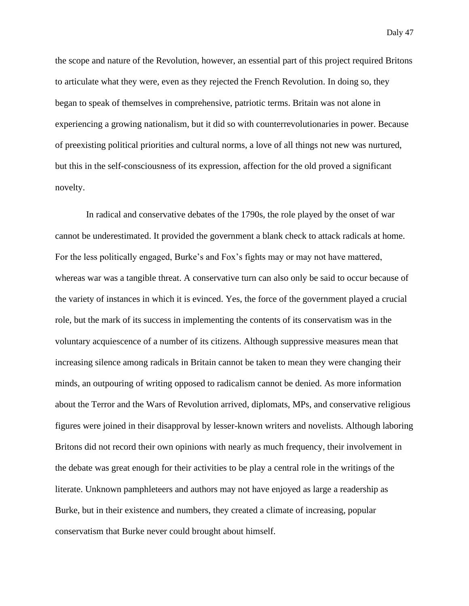the scope and nature of the Revolution, however, an essential part of this project required Britons to articulate what they were, even as they rejected the French Revolution. In doing so, they began to speak of themselves in comprehensive, patriotic terms. Britain was not alone in experiencing a growing nationalism, but it did so with counterrevolutionaries in power. Because of preexisting political priorities and cultural norms, a love of all things not new was nurtured, but this in the self-consciousness of its expression, affection for the old proved a significant novelty.

In radical and conservative debates of the 1790s, the role played by the onset of war cannot be underestimated. It provided the government a blank check to attack radicals at home. For the less politically engaged, Burke's and Fox's fights may or may not have mattered, whereas war was a tangible threat. A conservative turn can also only be said to occur because of the variety of instances in which it is evinced. Yes, the force of the government played a crucial role, but the mark of its success in implementing the contents of its conservatism was in the voluntary acquiescence of a number of its citizens. Although suppressive measures mean that increasing silence among radicals in Britain cannot be taken to mean they were changing their minds, an outpouring of writing opposed to radicalism cannot be denied. As more information about the Terror and the Wars of Revolution arrived, diplomats, MPs, and conservative religious figures were joined in their disapproval by lesser-known writers and novelists. Although laboring Britons did not record their own opinions with nearly as much frequency, their involvement in the debate was great enough for their activities to be play a central role in the writings of the literate. Unknown pamphleteers and authors may not have enjoyed as large a readership as Burke, but in their existence and numbers, they created a climate of increasing, popular conservatism that Burke never could brought about himself.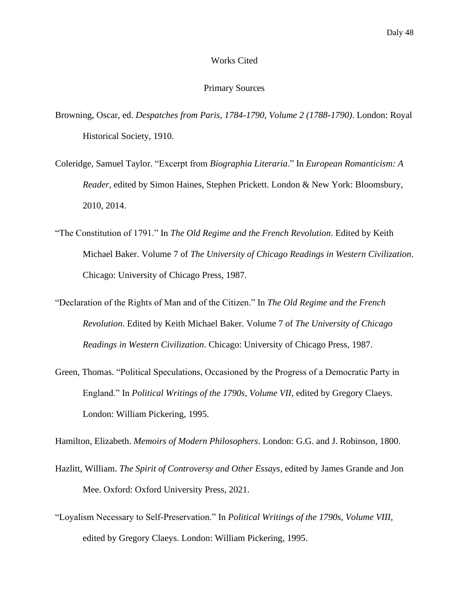#### Works Cited

#### Primary Sources

- Browning, Oscar, ed. *Despatches from Paris, 1784-1790, Volume 2 (1788-1790)*. London: Royal Historical Society, 1910.
- Coleridge, Samuel Taylor. "Excerpt from *Biographia Literaria*." In *European Romanticism: A Reader*, edited by Simon Haines, Stephen Prickett. London & New York: Bloomsbury, 2010, 2014.
- "The Constitution of 1791." In *The Old Regime and the French Revolution*. Edited by Keith Michael Baker. Volume 7 of *The University of Chicago Readings in Western Civilization*. Chicago: University of Chicago Press, 1987.
- "Declaration of the Rights of Man and of the Citizen." In *The Old Regime and the French Revolution*. Edited by Keith Michael Baker. Volume 7 of *The University of Chicago Readings in Western Civilization*. Chicago: University of Chicago Press, 1987.
- Green, Thomas. "Political Speculations, Occasioned by the Progress of a Democratic Party in England." In *Political Writings of the 1790s, Volume VII*, edited by Gregory Claeys. London: William Pickering, 1995.

Hamilton, Elizabeth. *Memoirs of Modern Philosophers*. London: G.G. and J. Robinson, 1800.

- Hazlitt, William. *The Spirit of Controversy and Other Essays*, edited by James Grande and Jon Mee. Oxford: Oxford University Press, 2021.
- "Loyalism Necessary to Self-Preservation." In *Political Writings of the 1790s, Volume VIII*, edited by Gregory Claeys. London: William Pickering, 1995.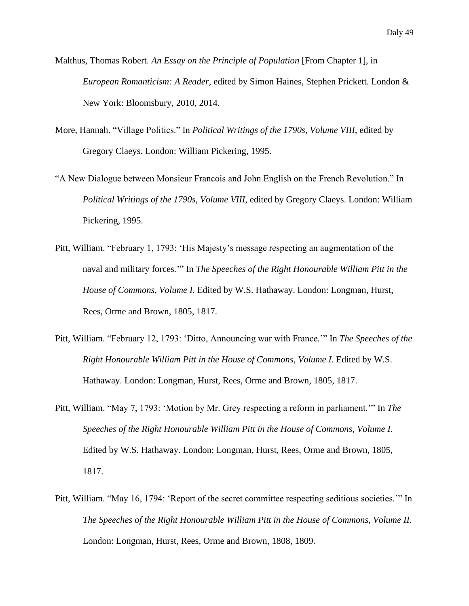Malthus, Thomas Robert. *An Essay on the Principle of Population* [From Chapter 1], in *European Romanticism: A Reader*, edited by Simon Haines, Stephen Prickett. London & New York: Bloomsbury, 2010, 2014.

- More, Hannah. "Village Politics." In *Political Writings of the 1790s, Volume VIII*, edited by Gregory Claeys. London: William Pickering, 1995.
- "A New Dialogue between Monsieur Francois and John English on the French Revolution." In *Political Writings of the 1790s, Volume VIII*, edited by Gregory Claeys. London: William Pickering, 1995.
- Pitt, William. "February 1, 1793: 'His Majesty's message respecting an augmentation of the naval and military forces*.*'" In *The Speeches of the Right Honourable William Pitt in the House of Commons, Volume I*. Edited by W.S. Hathaway. London: Longman, Hurst, Rees, Orme and Brown, 1805, 1817.
- Pitt, William. "February 12, 1793: 'Ditto, Announcing war with France*.*'" In *The Speeches of the Right Honourable William Pitt in the House of Commons, Volume I*. Edited by W.S. Hathaway. London: Longman, Hurst, Rees, Orme and Brown, 1805, 1817.
- Pitt, William. "May 7, 1793: 'Motion by Mr. Grey respecting a reform in parliament*.*'" In *The Speeches of the Right Honourable William Pitt in the House of Commons, Volume I*. Edited by W.S. Hathaway. London: Longman, Hurst, Rees, Orme and Brown, 1805, 1817.
- Pitt, William. "May 16, 1794: 'Report of the secret committee respecting seditious societies*.*'" In *The Speeches of the Right Honourable William Pitt in the House of Commons, Volume II*. London: Longman, Hurst, Rees, Orme and Brown, 1808, 1809.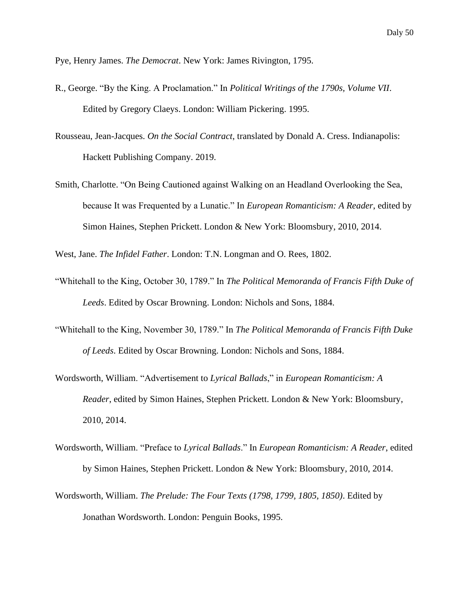Pye, Henry James. *The Democrat*. New York: James Rivington, 1795.

- R., George. "By the King. A Proclamation." In *Political Writings of the 1790s, Volume VII*. Edited by Gregory Claeys. London: William Pickering. 1995.
- Rousseau, Jean-Jacques. *On the Social Contract*, translated by Donald A. Cress. Indianapolis: Hackett Publishing Company. 2019.
- Smith, Charlotte. "On Being Cautioned against Walking on an Headland Overlooking the Sea, because It was Frequented by a Lunatic." In *European Romanticism: A Reader*, edited by Simon Haines, Stephen Prickett. London & New York: Bloomsbury, 2010, 2014.

West, Jane. *The Infidel Father*. London: T.N. Longman and O. Rees, 1802.

- "Whitehall to the King, October 30, 1789." In *The Political Memoranda of Francis Fifth Duke of Leeds*. Edited by Oscar Browning. London: Nichols and Sons, 1884.
- "Whitehall to the King, November 30, 1789." In *The Political Memoranda of Francis Fifth Duke of Leeds*. Edited by Oscar Browning. London: Nichols and Sons, 1884.
- Wordsworth, William. "Advertisement to *Lyrical Ballads*," in *European Romanticism: A Reader*, edited by Simon Haines, Stephen Prickett. London & New York: Bloomsbury, 2010, 2014.
- Wordsworth, William. "Preface to *Lyrical Ballads*." In *European Romanticism: A Reader*, edited by Simon Haines, Stephen Prickett. London & New York: Bloomsbury, 2010, 2014.
- Wordsworth, William. *The Prelude: The Four Texts (1798, 1799, 1805, 1850)*. Edited by Jonathan Wordsworth. London: Penguin Books, 1995.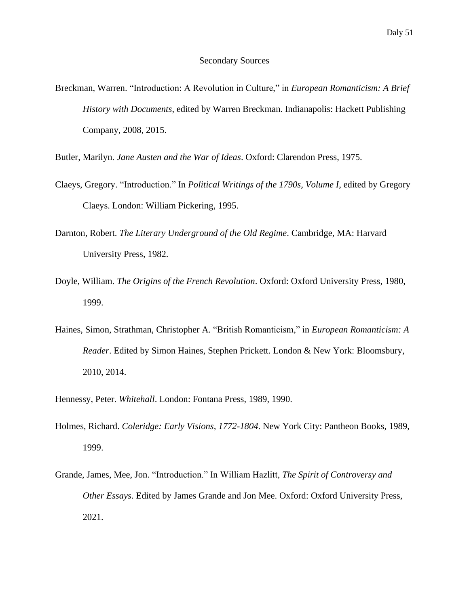Breckman, Warren. "Introduction: A Revolution in Culture," in *European Romanticism: A Brief History with Documents*, edited by Warren Breckman. Indianapolis: Hackett Publishing Company, 2008, 2015.

Butler, Marilyn. *Jane Austen and the War of Ideas*. Oxford: Clarendon Press, 1975.

- Claeys, Gregory. "Introduction." In *Political Writings of the 1790s, Volume I*, edited by Gregory Claeys. London: William Pickering, 1995.
- Darnton, Robert. *The Literary Underground of the Old Regime*. Cambridge, MA: Harvard University Press, 1982.
- Doyle, William. *The Origins of the French Revolution*. Oxford: Oxford University Press, 1980, 1999.
- Haines, Simon, Strathman, Christopher A. "British Romanticism," in *European Romanticism: A Reader*. Edited by Simon Haines, Stephen Prickett. London & New York: Bloomsbury, 2010, 2014.
- Hennessy, Peter. *Whitehall*. London: Fontana Press, 1989, 1990.
- Holmes, Richard. *Coleridge: Early Visions, 1772-1804*. New York City: Pantheon Books, 1989, 1999.
- Grande, James, Mee, Jon. "Introduction." In William Hazlitt, *The Spirit of Controversy and Other Essays*. Edited by James Grande and Jon Mee. Oxford: Oxford University Press, 2021.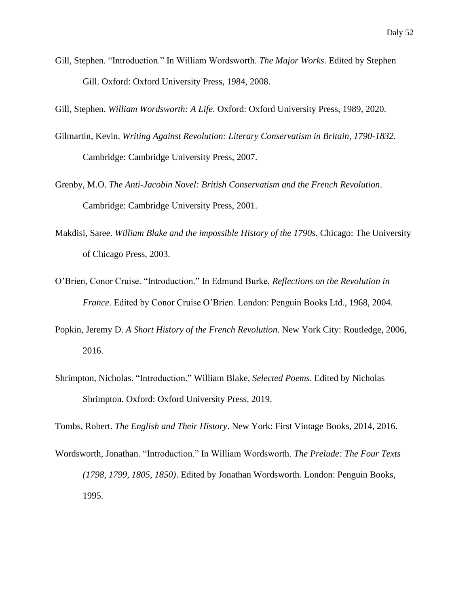Gill, Stephen. "Introduction." In William Wordsworth. *The Major Works*. Edited by Stephen Gill. Oxford: Oxford University Press, 1984, 2008.

Gill, Stephen. *William Wordsworth: A Life*. Oxford: Oxford University Press, 1989, 2020.

- Gilmartin, Kevin. *Writing Against Revolution: Literary Conservatism in Britain, 1790-1832*. Cambridge: Cambridge University Press, 2007.
- Grenby, M.O. *The Anti-Jacobin Novel: British Conservatism and the French Revolution*. Cambridge: Cambridge University Press, 2001.
- Makdisi, Saree. *William Blake and the impossible History of the 1790s*. Chicago: The University of Chicago Press, 2003.
- O'Brien, Conor Cruise. "Introduction." In Edmund Burke, *Reflections on the Revolution in France*. Edited by Conor Cruise O'Brien. London: Penguin Books Ltd., 1968, 2004.
- Popkin, Jeremy D. *A Short History of the French Revolution*. New York City: Routledge, 2006, 2016.
- Shrimpton, Nicholas. "Introduction." William Blake, *Selected Poems*. Edited by Nicholas Shrimpton. Oxford: Oxford University Press, 2019.

Tombs, Robert. *The English and Their History*. New York: First Vintage Books, 2014, 2016.

Wordsworth, Jonathan. "Introduction." In William Wordsworth. *The Prelude: The Four Texts (1798, 1799, 1805, 1850)*. Edited by Jonathan Wordsworth. London: Penguin Books, 1995.